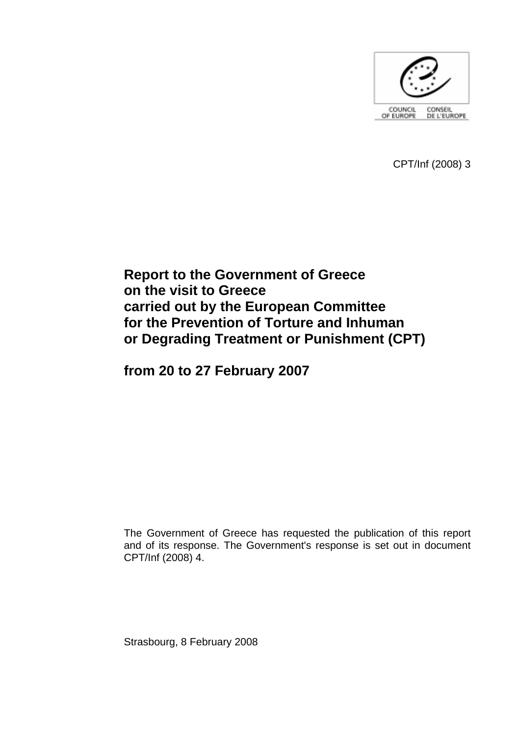

CPT/Inf (2008) 3

# **Report to the Government of Greece on the visit to Greece carried out by the European Committee for the Prevention of Torture and Inhuman or Degrading Treatment or Punishment (CPT)**

**from 20 to 27 February 2007** 

The Government of Greece has requested the publication of this report and of its response. The Government's response is set out in document CPT/Inf (2008) 4.

Strasbourg, 8 February 2008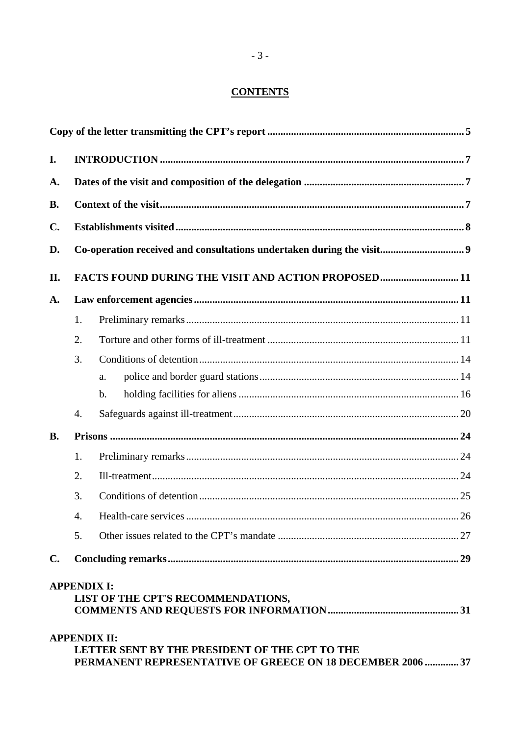## **CONTENTS**

| I.             | Co-operation received and consultations undertaken during the visit 9 |                                                                                                                                     |  |
|----------------|-----------------------------------------------------------------------|-------------------------------------------------------------------------------------------------------------------------------------|--|
| A.             |                                                                       |                                                                                                                                     |  |
| <b>B.</b>      |                                                                       |                                                                                                                                     |  |
| C.             |                                                                       |                                                                                                                                     |  |
| D.             |                                                                       |                                                                                                                                     |  |
| II.            |                                                                       | FACTS FOUND DURING THE VISIT AND ACTION PROPOSED11                                                                                  |  |
| A.             |                                                                       |                                                                                                                                     |  |
|                | 1.                                                                    |                                                                                                                                     |  |
|                | 2.                                                                    |                                                                                                                                     |  |
|                | 3.                                                                    |                                                                                                                                     |  |
|                |                                                                       | a.                                                                                                                                  |  |
|                |                                                                       | b.                                                                                                                                  |  |
|                | 4.                                                                    |                                                                                                                                     |  |
| <b>B.</b>      |                                                                       |                                                                                                                                     |  |
|                | 1.                                                                    |                                                                                                                                     |  |
|                | 2.                                                                    |                                                                                                                                     |  |
|                | 3.                                                                    |                                                                                                                                     |  |
|                | 4.                                                                    |                                                                                                                                     |  |
|                | 5.                                                                    |                                                                                                                                     |  |
| $\mathbf{C}$ . |                                                                       |                                                                                                                                     |  |
|                |                                                                       | <b>APPENDIX I:</b><br>LIST OF THE CPT'S RECOMMENDATIONS,                                                                            |  |
|                |                                                                       | <b>APPENDIX II:</b><br>LETTER SENT BY THE PRESIDENT OF THE CPT TO THE<br>PERMANENT REPRESENTATIVE OF GREECE ON 18 DECEMBER 2006  37 |  |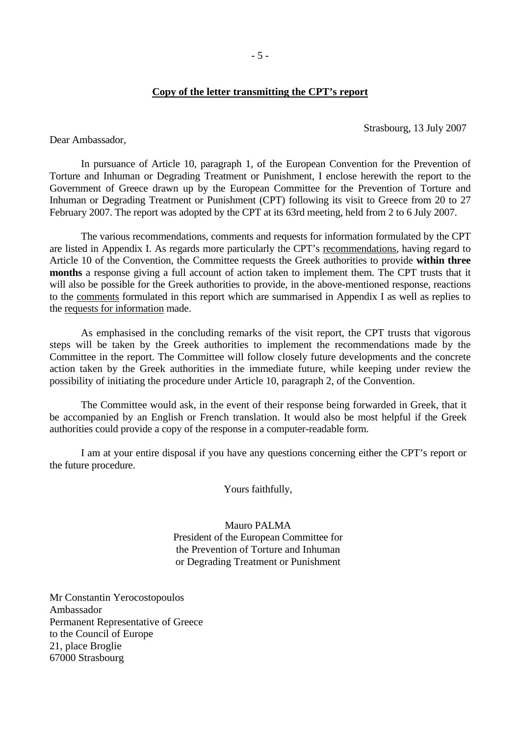#### **Copy of the letter transmitting the CPT's report**

Strasbourg, 13 July 2007

<span id="page-4-0"></span>Dear Ambassador,

 In pursuance of Article 10, paragraph 1, of the European Convention for the Prevention of Torture and Inhuman or Degrading Treatment or Punishment, I enclose herewith the report to the Government of Greece drawn up by the European Committee for the Prevention of Torture and Inhuman or Degrading Treatment or Punishment (CPT) following its visit to Greece from 20 to 27 February 2007. The report was adopted by the CPT at its 63rd meeting, held from 2 to 6 July 2007.

 The various recommendations, comments and requests for information formulated by the CPT are listed in Appendix I. As regards more particularly the CPT's recommendations, having regard to Article 10 of the Convention, the Committee requests the Greek authorities to provide **within three months** a response giving a full account of action taken to implement them. The CPT trusts that it will also be possible for the Greek authorities to provide, in the above-mentioned response, reactions to the comments formulated in this report which are summarised in Appendix I as well as replies to the requests for information made.

 As emphasised in the concluding remarks of the visit report, the CPT trusts that vigorous steps will be taken by the Greek authorities to implement the recommendations made by the Committee in the report. The Committee will follow closely future developments and the concrete action taken by the Greek authorities in the immediate future, while keeping under review the possibility of initiating the procedure under Article 10, paragraph 2, of the Convention.

 The Committee would ask, in the event of their response being forwarded in Greek, that it be accompanied by an English or French translation. It would also be most helpful if the Greek authorities could provide a copy of the response in a computer-readable form.

 I am at your entire disposal if you have any questions concerning either the CPT's report or the future procedure.

Yours faithfully,

Mauro PALMA President of the European Committee for the Prevention of Torture and Inhuman or Degrading Treatment or Punishment

Mr Constantin Yerocostopoulos Ambassador Permanent Representative of Greece to the Council of Europe 21, place Broglie 67000 Strasbourg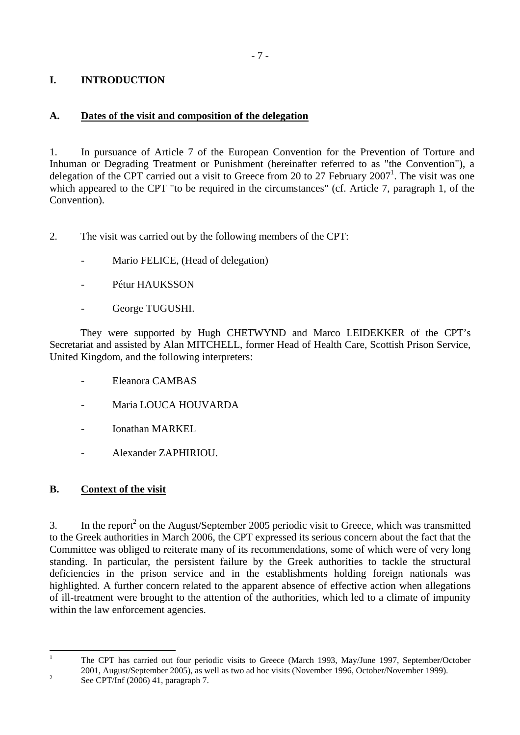## <span id="page-6-0"></span>**I. INTRODUCTION**

## **A. Dates of the visit and composition of the delegation**

1. In pursuance of Article 7 of the European Convention for the Prevention of Torture and Inhuman or Degrading Treatment or Punishment (hereinafter referred to as "the Convention"), a delegation of the CPT carried out a visit to Greece from 20 to 27 February  $2007<sup>1</sup>$ . The visit was one which appeared to the CPT "to be required in the circumstances" (cf. Article 7, paragraph 1, of the Convention).

2. The visit was carried out by the following members of the CPT:

- Mario FELICE, (Head of delegation)
- Pétur HAUKSSON
- George TUGUSHI.

 They were supported by Hugh CHETWYND and Marco LEIDEKKER of the CPT's Secretariat and assisted by Alan MITCHELL, former Head of Health Care, Scottish Prison Service, United Kingdom, and the following interpreters:

- Eleanora CAMBAS
- Maria LOUCA HOUVARDA
- Ionathan MARKEL
- Alexander ZAPHIRIOU.

## **B. Context of the visit**

3. In the report<sup>2</sup> on the August/September 2005 periodic visit to Greece, which was transmitted to the Greek authorities in March 2006, the CPT expressed its serious concern about the fact that the Committee was obliged to reiterate many of its recommendations, some of which were of very long standing. In particular, the persistent failure by the Greek authorities to tackle the structural deficiencies in the prison service and in the establishments holding foreign nationals was highlighted. A further concern related to the apparent absence of effective action when allegations of ill-treatment were brought to the attention of the authorities, which led to a climate of impunity within the law enforcement agencies.

 $\frac{1}{1}$ 

<span id="page-6-1"></span>The CPT has carried out four periodic visits to Greece (March 1993, May/June 1997, September/October 2001, August/September 2005), as well as two ad hoc visits (November 1996, October/November 1999).

<span id="page-6-2"></span>See CPT/Inf (2006) 41, paragraph 7.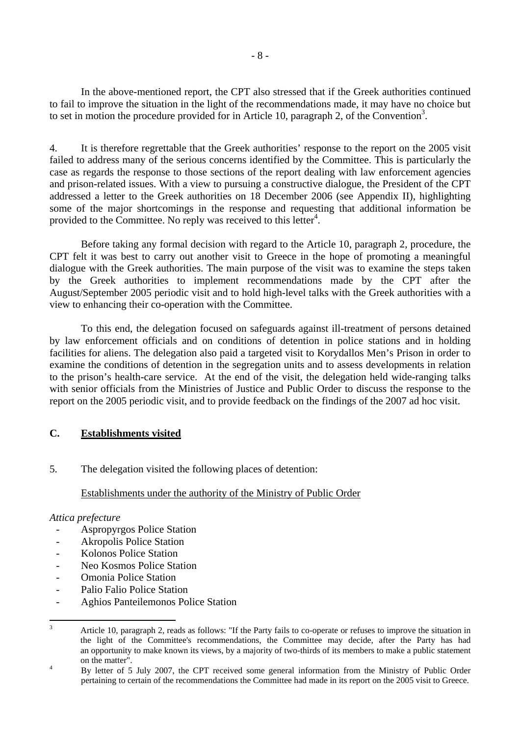<span id="page-7-0"></span> In the above-mentioned report, the CPT also stressed that if the Greek authorities continued to fail to improve the situation in the light of the recommendations made, it may have no choice but to set in motion the procedure provided for in Article 10, paragraph 2, of the Convention<sup>3</sup>.

4. It is therefore regrettable that the Greek authorities' response to the report on the 2005 visit failed to address many of the serious concerns identified by the Committee. This is particularly the case as regards the response to those sections of the report dealing with law enforcement agencies and prison-related issues. With a view to pursuing a constructive dialogue, the President of the CPT addressed a letter to the Greek authorities on 18 December 2006 (see Appendix II), highlighting some of the major shortcomings in the response and requesting that additional information be provided to the Committee. No reply was received to this letter<sup>4</sup>.

 Before taking any formal decision with regard to the Article 10, paragraph 2, procedure, the CPT felt it was best to carry out another visit to Greece in the hope of promoting a meaningful dialogue with the Greek authorities. The main purpose of the visit was to examine the steps taken by the Greek authorities to implement recommendations made by the CPT after the August/September 2005 periodic visit and to hold high-level talks with the Greek authorities with a view to enhancing their co-operation with the Committee.

 To this end, the delegation focused on safeguards against ill-treatment of persons detained by law enforcement officials and on conditions of detention in police stations and in holding facilities for aliens. The delegation also paid a targeted visit to Korydallos Men's Prison in order to examine the conditions of detention in the segregation units and to assess developments in relation to the prison's health-care service. At the end of the visit, the delegation held wide-ranging talks with senior officials from the Ministries of Justice and Public Order to discuss the response to the report on the 2005 periodic visit, and to provide feedback on the findings of the 2007 ad hoc visit.

## **C. Establishments visited**

5. The delegation visited the following places of detention:

## Establishments under the authority of the Ministry of Public Order

## *Attica prefecture*

- Aspropyrgos Police Station
- Akropolis Police Station
- Kolonos Police Station
- Neo Kosmos Police Station
- Omonia Police Station
- Palio Falio Police Station
- Aghios Panteilemonos Police Station

<span id="page-7-1"></span><sup>&</sup>lt;sup>2</sup><br>3 Article 10, paragraph 2, reads as follows: "If the Party fails to co-operate or refuses to improve the situation in the light of the Committee's recommendations, the Committee may decide, after the Party has had an opportunity to make known its views, by a majority of two-thirds of its members to make a public statement on the matter".

<span id="page-7-2"></span>By letter of 5 July 2007, the CPT received some general information from the Ministry of Public Order pertaining to certain of the recommendations the Committee had made in its report on the 2005 visit to Greece.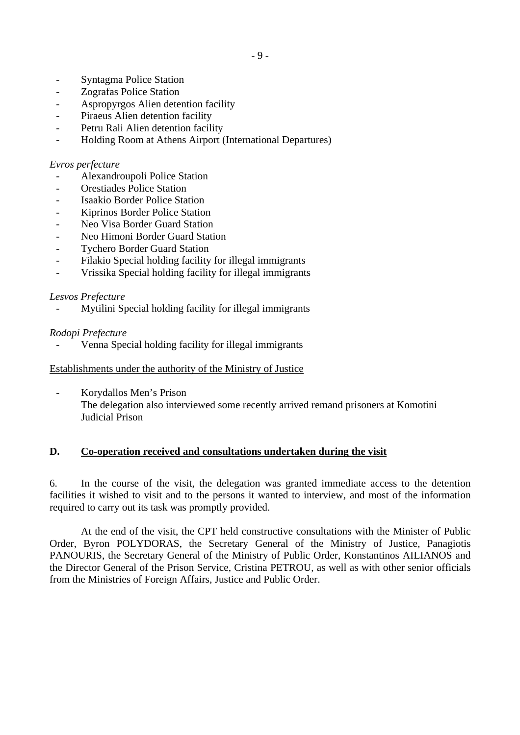- <span id="page-8-0"></span>- Syntagma Police Station
- Zografas Police Station
- Aspropyrgos Alien detention facility
- Piraeus Alien detention facility
- Petru Rali Alien detention facility
- Holding Room at Athens Airport (International Departures)

#### *Evros perfecture*

- Alexandroupoli Police Station
- Orestiades Police Station
- Isaakio Border Police Station
- Kiprinos Border Police Station
- Neo Visa Border Guard Station
- Neo Himoni Border Guard Station
- **Tychero Border Guard Station**
- Filakio Special holding facility for illegal immigrants
- Vrissika Special holding facility for illegal immigrants

## *Lesvos Prefecture*

Mytilini Special holding facility for illegal immigrants

## *Rodopi Prefecture*

Venna Special holding facility for illegal immigrants

Establishments under the authority of the Ministry of Justice

- Korydallos Men's Prison The delegation also interviewed some recently arrived remand prisoners at Komotini Judicial Prison

## **D. Co-operation received and consultations undertaken during the visit**

6. In the course of the visit, the delegation was granted immediate access to the detention facilities it wished to visit and to the persons it wanted to interview, and most of the information required to carry out its task was promptly provided.

 At the end of the visit, the CPT held constructive consultations with the Minister of Public Order, Byron POLYDORAS, the Secretary General of the Ministry of Justice, Panagiotis PANOURIS, the Secretary General of the Ministry of Public Order, Konstantinos AILIANOS and the Director General of the Prison Service, Cristina PETROU, as well as with other senior officials from the Ministries of Foreign Affairs, Justice and Public Order.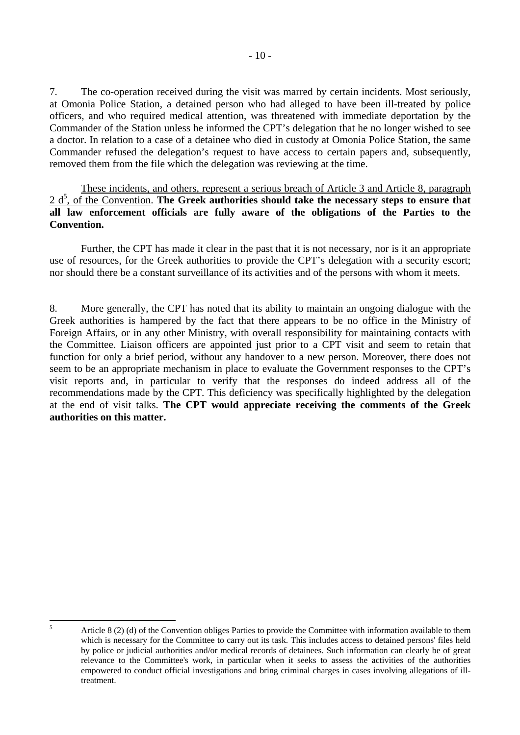7. The co-operation received during the visit was marred by certain incidents. Most seriously, at Omonia Police Station, a detained person who had alleged to have been ill-treated by police officers, and who required medical attention, was threatened with immediate deportation by the Commander of the Station unless he informed the CPT's delegation that he no longer wished to see a doctor. In relation to a case of a detainee who died in custody at Omonia Police Station, the same Commander refused the delegation's request to have access to certain papers and, subsequently, removed them from the file which the delegation was reviewing at the time.

These incidents, and others, represent a serious breach of Article 3 and Article 8, paragraph 2 d<sup>[5](#page-9-0)</sup>, of the Convention. The Greek authorities should take the necessary steps to ensure that **all law enforcement officials are fully aware of the obligations of the Parties to the Convention.** 

 Further, the CPT has made it clear in the past that it is not necessary, nor is it an appropriate use of resources, for the Greek authorities to provide the CPT's delegation with a security escort; nor should there be a constant surveillance of its activities and of the persons with whom it meets.

8. More generally, the CPT has noted that its ability to maintain an ongoing dialogue with the Greek authorities is hampered by the fact that there appears to be no office in the Ministry of Foreign Affairs, or in any other Ministry, with overall responsibility for maintaining contacts with the Committee. Liaison officers are appointed just prior to a CPT visit and seem to retain that function for only a brief period, without any handover to a new person. Moreover, there does not seem to be an appropriate mechanism in place to evaluate the Government responses to the CPT's visit reports and, in particular to verify that the responses do indeed address all of the recommendations made by the CPT. This deficiency was specifically highlighted by the delegation at the end of visit talks. **The CPT would appreciate receiving the comments of the Greek authorities on this matter.**

<span id="page-9-0"></span> 5

Article 8 (2) (d) of the Convention obliges Parties to provide the Committee with information available to them which is necessary for the Committee to carry out its task. This includes access to detained persons' files held by police or judicial authorities and/or medical records of detainees. Such information can clearly be of great relevance to the Committee's work, in particular when it seeks to assess the activities of the authorities empowered to conduct official investigations and bring criminal charges in cases involving allegations of illtreatment.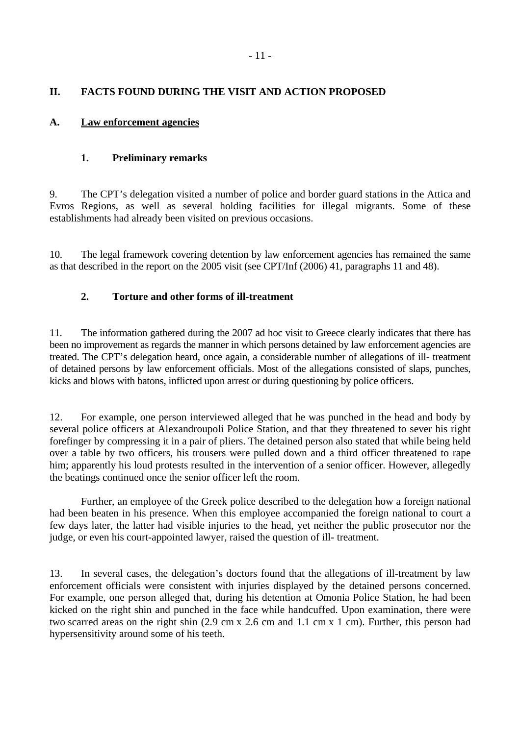## <span id="page-10-0"></span>**A. Law enforcement agencies**

## **1. Preliminary remarks**

9. The CPT's delegation visited a number of police and border guard stations in the Attica and Evros Regions, as well as several holding facilities for illegal migrants. Some of these establishments had already been visited on previous occasions.

10. The legal framework covering detention by law enforcement agencies has remained the same as that described in the report on the 2005 visit (see CPT/Inf (2006) 41, paragraphs 11 and 48).

## **2. Torture and other forms of ill-treatment**

11. The information gathered during the 2007 ad hoc visit to Greece clearly indicates that there has been no improvement as regards the manner in which persons detained by law enforcement agencies are treated. The CPT's delegation heard, once again, a considerable number of allegations of ill- treatment of detained persons by law enforcement officials. Most of the allegations consisted of slaps, punches, kicks and blows with batons, inflicted upon arrest or during questioning by police officers.

12. For example, one person interviewed alleged that he was punched in the head and body by several police officers at Alexandroupoli Police Station, and that they threatened to sever his right forefinger by compressing it in a pair of pliers. The detained person also stated that while being held over a table by two officers, his trousers were pulled down and a third officer threatened to rape him; apparently his loud protests resulted in the intervention of a senior officer. However, allegedly the beatings continued once the senior officer left the room.

 Further, an employee of the Greek police described to the delegation how a foreign national had been beaten in his presence. When this employee accompanied the foreign national to court a few days later, the latter had visible injuries to the head, yet neither the public prosecutor nor the judge, or even his court-appointed lawyer, raised the question of ill- treatment.

13. In several cases, the delegation's doctors found that the allegations of ill-treatment by law enforcement officials were consistent with injuries displayed by the detained persons concerned. For example, one person alleged that, during his detention at Omonia Police Station, he had been kicked on the right shin and punched in the face while handcuffed. Upon examination, there were two scarred areas on the right shin (2.9 cm x 2.6 cm and 1.1 cm x 1 cm). Further, this person had hypersensitivity around some of his teeth.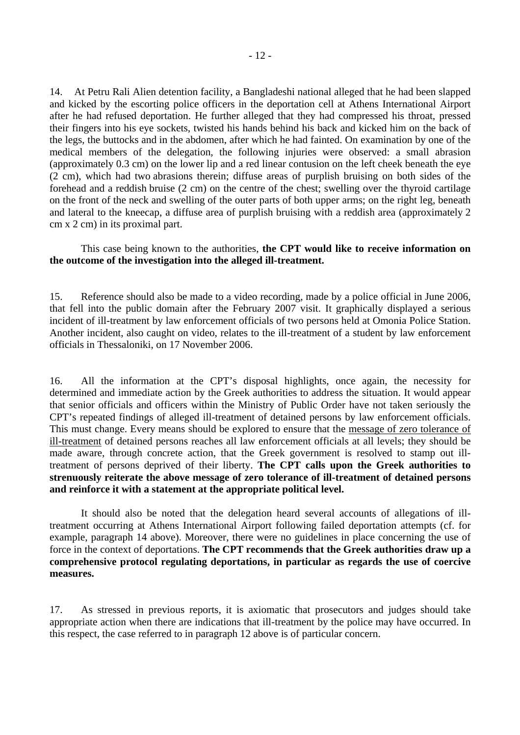14. At Petru Rali Alien detention facility, a Bangladeshi national alleged that he had been slapped and kicked by the escorting police officers in the deportation cell at Athens International Airport after he had refused deportation. He further alleged that they had compressed his throat, pressed their fingers into his eye sockets, twisted his hands behind his back and kicked him on the back of the legs, the buttocks and in the abdomen, after which he had fainted. On examination by one of the medical members of the delegation, the following injuries were observed: a small abrasion (approximately 0.3 cm) on the lower lip and a red linear contusion on the left cheek beneath the eye (2 cm), which had two abrasions therein; diffuse areas of purplish bruising on both sides of the forehead and a reddish bruise (2 cm) on the centre of the chest; swelling over the thyroid cartilage on the front of the neck and swelling of the outer parts of both upper arms; on the right leg, beneath and lateral to the kneecap, a diffuse area of purplish bruising with a reddish area (approximately 2 cm x 2 cm) in its proximal part.

## This case being known to the authorities, **the CPT would like to receive information on the outcome of the investigation into the alleged ill-treatment.**

15. Reference should also be made to a video recording, made by a police official in June 2006, that fell into the public domain after the February 2007 visit. It graphically displayed a serious incident of ill-treatment by law enforcement officials of two persons held at Omonia Police Station. Another incident, also caught on video, relates to the ill-treatment of a student by law enforcement officials in Thessaloniki, on 17 November 2006.

16. All the information at the CPT's disposal highlights, once again, the necessity for determined and immediate action by the Greek authorities to address the situation. It would appear that senior officials and officers within the Ministry of Public Order have not taken seriously the CPT's repeated findings of alleged ill-treatment of detained persons by law enforcement officials. This must change. Every means should be explored to ensure that the message of zero tolerance of ill-treatment of detained persons reaches all law enforcement officials at all levels; they should be made aware, through concrete action, that the Greek government is resolved to stamp out illtreatment of persons deprived of their liberty. **The CPT calls upon the Greek authorities to strenuously reiterate the above message of zero tolerance of ill-treatment of detained persons and reinforce it with a statement at the appropriate political level.**

 It should also be noted that the delegation heard several accounts of allegations of illtreatment occurring at Athens International Airport following failed deportation attempts (cf. for example, paragraph 14 above). Moreover, there were no guidelines in place concerning the use of force in the context of deportations. **The CPT recommends that the Greek authorities draw up a comprehensive protocol regulating deportations, in particular as regards the use of coercive measures.**

17. As stressed in previous reports, it is axiomatic that prosecutors and judges should take appropriate action when there are indications that ill-treatment by the police may have occurred. In this respect, the case referred to in paragraph 12 above is of particular concern.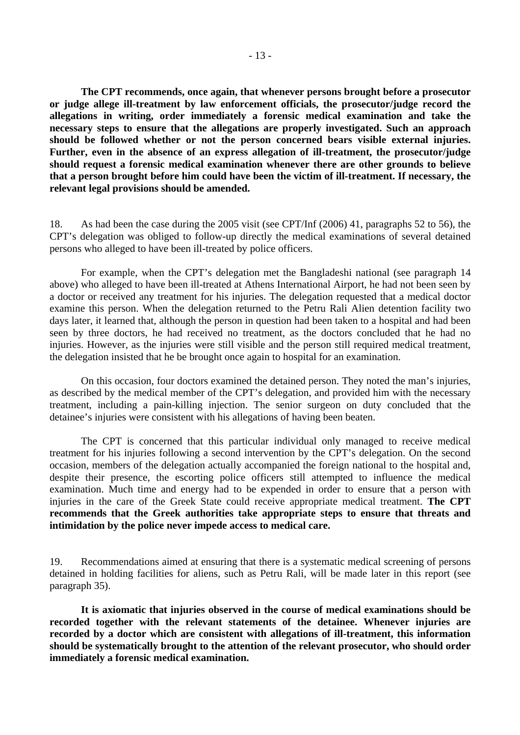**The CPT recommends, once again, that whenever persons brought before a prosecutor or judge allege ill-treatment by law enforcement officials, the prosecutor/judge record the allegations in writing, order immediately a forensic medical examination and take the necessary steps to ensure that the allegations are properly investigated. Such an approach should be followed whether or not the person concerned bears visible external injuries. Further, even in the absence of an express allegation of ill-treatment, the prosecutor/judge should request a forensic medical examination whenever there are other grounds to believe that a person brought before him could have been the victim of ill-treatment. If necessary, the relevant legal provisions should be amended.** 

18. As had been the case during the 2005 visit (see CPT/Inf (2006) 41, paragraphs 52 to 56), the CPT's delegation was obliged to follow-up directly the medical examinations of several detained persons who alleged to have been ill-treated by police officers.

 For example, when the CPT's delegation met the Bangladeshi national (see paragraph 14 above) who alleged to have been ill-treated at Athens International Airport, he had not been seen by a doctor or received any treatment for his injuries. The delegation requested that a medical doctor examine this person. When the delegation returned to the Petru Rali Alien detention facility two days later, it learned that, although the person in question had been taken to a hospital and had been seen by three doctors, he had received no treatment, as the doctors concluded that he had no injuries. However, as the injuries were still visible and the person still required medical treatment, the delegation insisted that he be brought once again to hospital for an examination.

 On this occasion, four doctors examined the detained person. They noted the man's injuries, as described by the medical member of the CPT's delegation, and provided him with the necessary treatment, including a pain-killing injection. The senior surgeon on duty concluded that the detainee's injuries were consistent with his allegations of having been beaten.

 The CPT is concerned that this particular individual only managed to receive medical treatment for his injuries following a second intervention by the CPT's delegation. On the second occasion, members of the delegation actually accompanied the foreign national to the hospital and, despite their presence, the escorting police officers still attempted to influence the medical examination. Much time and energy had to be expended in order to ensure that a person with injuries in the care of the Greek State could receive appropriate medical treatment. **The CPT recommends that the Greek authorities take appropriate steps to ensure that threats and intimidation by the police never impede access to medical care.** 

19. Recommendations aimed at ensuring that there is a systematic medical screening of persons detained in holding facilities for aliens, such as Petru Rali, will be made later in this report (see paragraph 35).

 **It is axiomatic that injuries observed in the course of medical examinations should be recorded together with the relevant statements of the detainee. Whenever injuries are recorded by a doctor which are consistent with allegations of ill-treatment, this information should be systematically brought to the attention of the relevant prosecutor, who should order immediately a forensic medical examination.**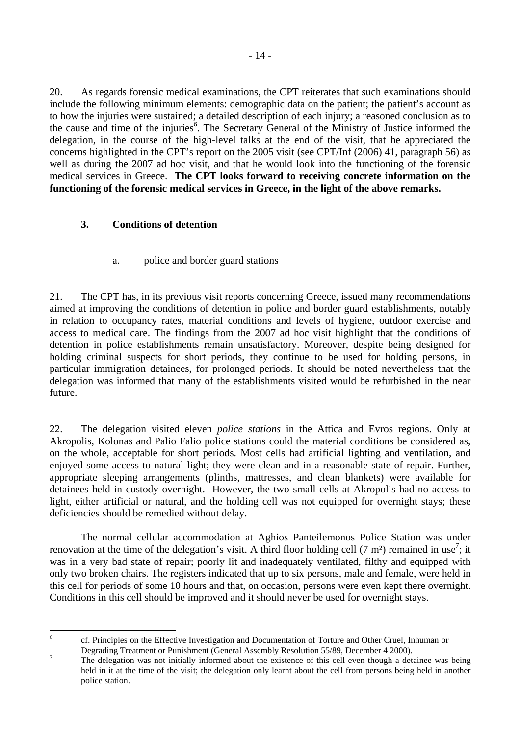<span id="page-13-0"></span>20. As regards forensic medical examinations, the CPT reiterates that such examinations should include the following minimum elements: demographic data on the patient; the patient's account as to how the injuries were sustained; a detailed description of each injury; a reasoned conclusion as to the cause and time of the injuries<sup>6</sup>. The Secretary General of the Ministry of Justice informed the delegation, in the course of the high-level talks at the end of the visit, that he appreciated the concerns highlighted in the CPT's report on the 2005 visit (see CPT/Inf (2006) 41, paragraph 56) as well as during the 2007 ad hoc visit, and that he would look into the functioning of the forensic medical services in Greece. **The CPT looks forward to receiving concrete information on the functioning of the forensic medical services in Greece, in the light of the above remarks.** 

## **3. Conditions of detention**

## a. police and border guard stations

21. The CPT has, in its previous visit reports concerning Greece, issued many recommendations aimed at improving the conditions of detention in police and border guard establishments, notably in relation to occupancy rates, material conditions and levels of hygiene, outdoor exercise and access to medical care. The findings from the 2007 ad hoc visit highlight that the conditions of detention in police establishments remain unsatisfactory. Moreover, despite being designed for holding criminal suspects for short periods, they continue to be used for holding persons, in particular immigration detainees, for prolonged periods. It should be noted nevertheless that the delegation was informed that many of the establishments visited would be refurbished in the near future.

22. The delegation visited eleven *police stations* in the Attica and Evros regions. Only at Akropolis, Kolonas and Palio Falio police stations could the material conditions be considered as, on the whole, acceptable for short periods. Most cells had artificial lighting and ventilation, and enjoyed some access to natural light; they were clean and in a reasonable state of repair. Further, appropriate sleeping arrangements (plinths, mattresses, and clean blankets) were available for detainees held in custody overnight. However, the two small cells at Akropolis had no access to light, either artificial or natural, and the holding cell was not equipped for overnight stays; these deficiencies should be remedied without delay.

 The normal cellular accommodation at Aghios Panteilemonos Police Station was under renovation at the time of the delegation's visit. A third floor holding cell (7 m<sup>2</sup>) remained in use<sup>7</sup>; it was in a very bad state of repair; poorly lit and inadequately ventilated, filthy and equipped with only two broken chairs. The registers indicated that up to six persons, male and female, were held in this cell for periods of some 10 hours and that, on occasion, persons were even kept there overnight. Conditions in this cell should be improved and it should never be used for overnight stays.

 $\frac{1}{6}$ 

<span id="page-13-1"></span>cf. Principles on the Effective Investigation and Documentation of Torture and Other Cruel, Inhuman or Degrading Treatment or Punishment (General Assembly Resolution 55/89, December 4 2000).

<span id="page-13-2"></span>The delegation was not initially informed about the existence of this cell even though a detainee was being held in it at the time of the visit; the delegation only learnt about the cell from persons being held in another police station.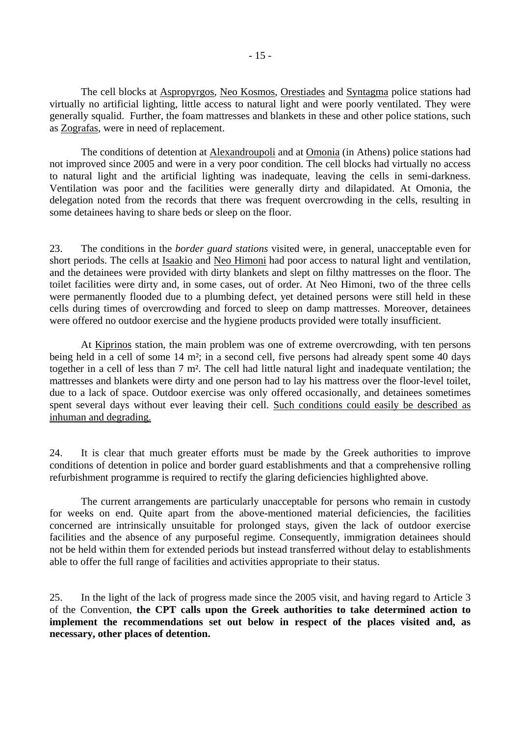The cell blocks at Aspropyrgos, Neo Kosmos, Orestiades and Syntagma police stations had virtually no artificial lighting, little access to natural light and were poorly ventilated. They were generally squalid. Further, the foam mattresses and blankets in these and other police stations, such as Zografas, were in need of replacement.

 The conditions of detention at Alexandroupoli and at Omonia (in Athens) police stations had not improved since 2005 and were in a very poor condition. The cell blocks had virtually no access to natural light and the artificial lighting was inadequate, leaving the cells in semi-darkness. Ventilation was poor and the facilities were generally dirty and dilapidated. At Omonia, the delegation noted from the records that there was frequent overcrowding in the cells, resulting in some detainees having to share beds or sleep on the floor.

23. The conditions in the *border guard stations* visited were, in general, unacceptable even for short periods. The cells at Isaakio and Neo Himoni had poor access to natural light and ventilation, and the detainees were provided with dirty blankets and slept on filthy mattresses on the floor. The toilet facilities were dirty and, in some cases, out of order. At Neo Himoni, two of the three cells were permanently flooded due to a plumbing defect, yet detained persons were still held in these cells during times of overcrowding and forced to sleep on damp mattresses. Moreover, detainees were offered no outdoor exercise and the hygiene products provided were totally insufficient.

 At Kiprinos station, the main problem was one of extreme overcrowding, with ten persons being held in a cell of some 14 m<sup>2</sup>; in a second cell, five persons had already spent some 40 days together in a cell of less than 7 m². The cell had little natural light and inadequate ventilation; the mattresses and blankets were dirty and one person had to lay his mattress over the floor-level toilet, due to a lack of space. Outdoor exercise was only offered occasionally, and detainees sometimes spent several days without ever leaving their cell. Such conditions could easily be described as inhuman and degrading.

24. It is clear that much greater efforts must be made by the Greek authorities to improve conditions of detention in police and border guard establishments and that a comprehensive rolling refurbishment programme is required to rectify the glaring deficiencies highlighted above.

 The current arrangements are particularly unacceptable for persons who remain in custody for weeks on end. Quite apart from the above-mentioned material deficiencies, the facilities concerned are intrinsically unsuitable for prolonged stays, given the lack of outdoor exercise facilities and the absence of any purposeful regime. Consequently, immigration detainees should not be held within them for extended periods but instead transferred without delay to establishments able to offer the full range of facilities and activities appropriate to their status.

25. In the light of the lack of progress made since the 2005 visit, and having regard to Article 3 of the Convention, **the CPT calls upon the Greek authorities to take determined action to implement the recommendations set out below in respect of the places visited and, as necessary, other places of detention.**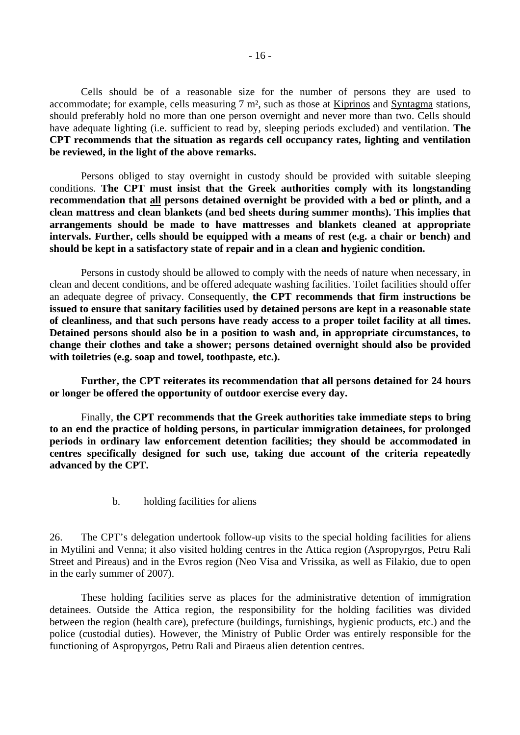<span id="page-15-0"></span> Cells should be of a reasonable size for the number of persons they are used to accommodate; for example, cells measuring 7 m², such as those at Kiprinos and Syntagma stations, should preferably hold no more than one person overnight and never more than two. Cells should have adequate lighting (i.e. sufficient to read by, sleeping periods excluded) and ventilation. **The CPT recommends that the situation as regards cell occupancy rates, lighting and ventilation be reviewed, in the light of the above remarks.**

 Persons obliged to stay overnight in custody should be provided with suitable sleeping conditions. **The CPT must insist that the Greek authorities comply with its longstanding recommendation that all persons detained overnight be provided with a bed or plinth, and a clean mattress and clean blankets (and bed sheets during summer months). This implies that arrangements should be made to have mattresses and blankets cleaned at appropriate intervals. Further, cells should be equipped with a means of rest (e.g. a chair or bench) and should be kept in a satisfactory state of repair and in a clean and hygienic condition.** 

 Persons in custody should be allowed to comply with the needs of nature when necessary, in clean and decent conditions, and be offered adequate washing facilities. Toilet facilities should offer an adequate degree of privacy. Consequently, **the CPT recommends that firm instructions be issued to ensure that sanitary facilities used by detained persons are kept in a reasonable state of cleanliness, and that such persons have ready access to a proper toilet facility at all times. Detained persons should also be in a position to wash and, in appropriate circumstances, to change their clothes and take a shower; persons detained overnight should also be provided with toiletries (e.g. soap and towel, toothpaste, etc.).** 

 **Further, the CPT reiterates its recommendation that all persons detained for 24 hours or longer be offered the opportunity of outdoor exercise every day.** 

 Finally, **the CPT recommends that the Greek authorities take immediate steps to bring to an end the practice of holding persons, in particular immigration detainees, for prolonged periods in ordinary law enforcement detention facilities; they should be accommodated in centres specifically designed for such use, taking due account of the criteria repeatedly advanced by the CPT.** 

b. holding facilities for aliens

26. The CPT's delegation undertook follow-up visits to the special holding facilities for aliens in Mytilini and Venna; it also visited holding centres in the Attica region (Aspropyrgos, Petru Rali Street and Pireaus) and in the Evros region (Neo Visa and Vrissika, as well as Filakio, due to open in the early summer of 2007).

 These holding facilities serve as places for the administrative detention of immigration detainees. Outside the Attica region, the responsibility for the holding facilities was divided between the region (health care), prefecture (buildings, furnishings, hygienic products, etc.) and the police (custodial duties). However, the Ministry of Public Order was entirely responsible for the functioning of Aspropyrgos, Petru Rali and Piraeus alien detention centres.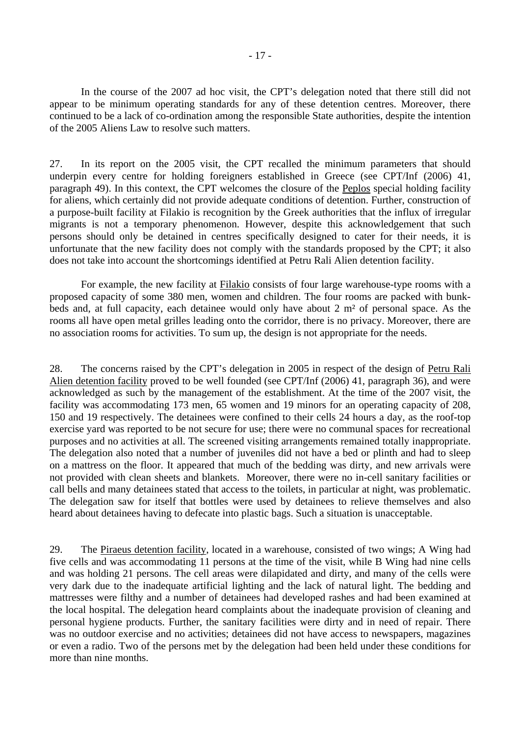In the course of the 2007 ad hoc visit, the CPT's delegation noted that there still did not appear to be minimum operating standards for any of these detention centres. Moreover, there continued to be a lack of co-ordination among the responsible State authorities, despite the intention of the 2005 Aliens Law to resolve such matters.

27. In its report on the 2005 visit, the CPT recalled the minimum parameters that should underpin every centre for holding foreigners established in Greece (see CPT/Inf (2006) 41, paragraph 49). In this context, the CPT welcomes the closure of the Peplos special holding facility for aliens, which certainly did not provide adequate conditions of detention. Further, construction of a purpose-built facility at Filakio is recognition by the Greek authorities that the influx of irregular migrants is not a temporary phenomenon. However, despite this acknowledgement that such persons should only be detained in centres specifically designed to cater for their needs, it is unfortunate that the new facility does not comply with the standards proposed by the CPT; it also does not take into account the shortcomings identified at Petru Rali Alien detention facility.

For example, the new facility at **Filakio** consists of four large warehouse-type rooms with a proposed capacity of some 380 men, women and children. The four rooms are packed with bunkbeds and, at full capacity, each detainee would only have about 2 m² of personal space. As the rooms all have open metal grilles leading onto the corridor, there is no privacy. Moreover, there are no association rooms for activities. To sum up, the design is not appropriate for the needs.

28. The concerns raised by the CPT's delegation in 2005 in respect of the design of Petru Rali Alien detention facility proved to be well founded (see CPT/Inf (2006) 41, paragraph 36), and were acknowledged as such by the management of the establishment. At the time of the 2007 visit, the facility was accommodating 173 men, 65 women and 19 minors for an operating capacity of 208, 150 and 19 respectively. The detainees were confined to their cells 24 hours a day, as the roof-top exercise yard was reported to be not secure for use; there were no communal spaces for recreational purposes and no activities at all. The screened visiting arrangements remained totally inappropriate. The delegation also noted that a number of juveniles did not have a bed or plinth and had to sleep on a mattress on the floor. It appeared that much of the bedding was dirty, and new arrivals were not provided with clean sheets and blankets. Moreover, there were no in-cell sanitary facilities or call bells and many detainees stated that access to the toilets, in particular at night, was problematic. The delegation saw for itself that bottles were used by detainees to relieve themselves and also heard about detainees having to defecate into plastic bags. Such a situation is unacceptable.

29. The Piraeus detention facility, located in a warehouse, consisted of two wings; A Wing had five cells and was accommodating 11 persons at the time of the visit, while B Wing had nine cells and was holding 21 persons. The cell areas were dilapidated and dirty, and many of the cells were very dark due to the inadequate artificial lighting and the lack of natural light. The bedding and mattresses were filthy and a number of detainees had developed rashes and had been examined at the local hospital. The delegation heard complaints about the inadequate provision of cleaning and personal hygiene products. Further, the sanitary facilities were dirty and in need of repair. There was no outdoor exercise and no activities; detainees did not have access to newspapers, magazines or even a radio. Two of the persons met by the delegation had been held under these conditions for more than nine months.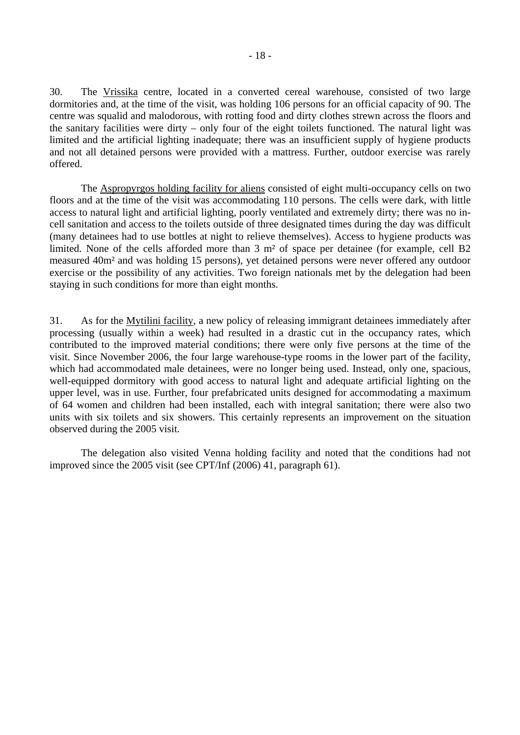30. The Vrissika centre, located in a converted cereal warehouse, consisted of two large dormitories and, at the time of the visit, was holding 106 persons for an official capacity of 90. The centre was squalid and malodorous, with rotting food and dirty clothes strewn across the floors and the sanitary facilities were dirty – only four of the eight toilets functioned. The natural light was limited and the artificial lighting inadequate; there was an insufficient supply of hygiene products and not all detained persons were provided with a mattress. Further, outdoor exercise was rarely offered.

 The Aspropyrgos holding facility for aliens consisted of eight multi-occupancy cells on two floors and at the time of the visit was accommodating 110 persons. The cells were dark, with little access to natural light and artificial lighting, poorly ventilated and extremely dirty; there was no incell sanitation and access to the toilets outside of three designated times during the day was difficult (many detainees had to use bottles at night to relieve themselves). Access to hygiene products was limited. None of the cells afforded more than 3 m² of space per detainee (for example, cell B2 measured 40m² and was holding 15 persons), yet detained persons were never offered any outdoor exercise or the possibility of any activities. Two foreign nationals met by the delegation had been staying in such conditions for more than eight months.

31. As for the Mytilini facility, a new policy of releasing immigrant detainees immediately after processing (usually within a week) had resulted in a drastic cut in the occupancy rates, which contributed to the improved material conditions; there were only five persons at the time of the visit. Since November 2006, the four large warehouse-type rooms in the lower part of the facility, which had accommodated male detainees, were no longer being used. Instead, only one, spacious, well-equipped dormitory with good access to natural light and adequate artificial lighting on the upper level, was in use. Further, four prefabricated units designed for accommodating a maximum of 64 women and children had been installed, each with integral sanitation; there were also two units with six toilets and six showers. This certainly represents an improvement on the situation observed during the 2005 visit.

 The delegation also visited Venna holding facility and noted that the conditions had not improved since the 2005 visit (see CPT/Inf (2006) 41, paragraph 61).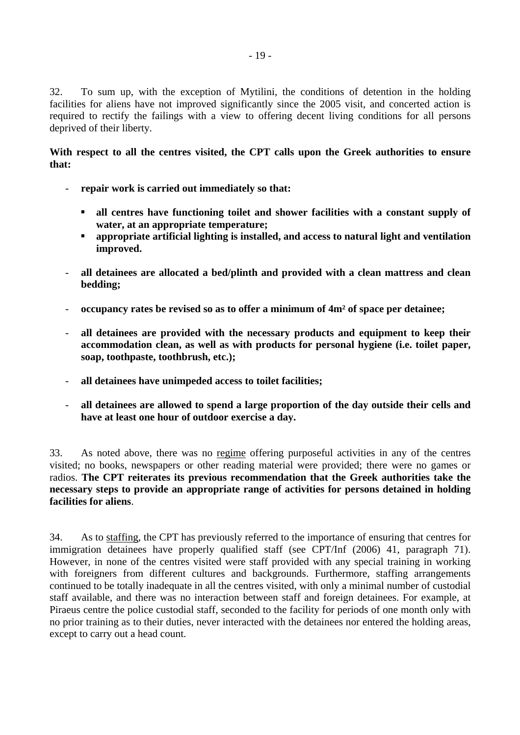32. To sum up, with the exception of Mytilini, the conditions of detention in the holding facilities for aliens have not improved significantly since the 2005 visit, and concerted action is required to rectify the failings with a view to offering decent living conditions for all persons deprived of their liberty.

## **With respect to all the centres visited, the CPT calls upon the Greek authorities to ensure that:**

- **repair work is carried out immediately so that:** 
	- ! **all centres have functioning toilet and shower facilities with a constant supply of water, at an appropriate temperature;**
	- ! **appropriate artificial lighting is installed, and access to natural light and ventilation improved.**
- **all detainees are allocated a bed/plinth and provided with a clean mattress and clean bedding;**
- **occupancy rates be revised so as to offer a minimum of 4m² of space per detainee;**
- **all detainees are provided with the necessary products and equipment to keep their accommodation clean, as well as with products for personal hygiene (i.e. toilet paper, soap, toothpaste, toothbrush, etc.);**
- **all detainees have unimpeded access to toilet facilities;**
- **all detainees are allowed to spend a large proportion of the day outside their cells and have at least one hour of outdoor exercise a day.**

33. As noted above, there was no regime offering purposeful activities in any of the centres visited; no books, newspapers or other reading material were provided; there were no games or radios. **The CPT reiterates its previous recommendation that the Greek authorities take the necessary steps to provide an appropriate range of activities for persons detained in holding facilities for aliens**.

34. As to staffing, the CPT has previously referred to the importance of ensuring that centres for immigration detainees have properly qualified staff (see CPT/Inf (2006) 41, paragraph 71). However, in none of the centres visited were staff provided with any special training in working with foreigners from different cultures and backgrounds. Furthermore, staffing arrangements continued to be totally inadequate in all the centres visited, with only a minimal number of custodial staff available, and there was no interaction between staff and foreign detainees. For example, at Piraeus centre the police custodial staff, seconded to the facility for periods of one month only with no prior training as to their duties, never interacted with the detainees nor entered the holding areas, except to carry out a head count.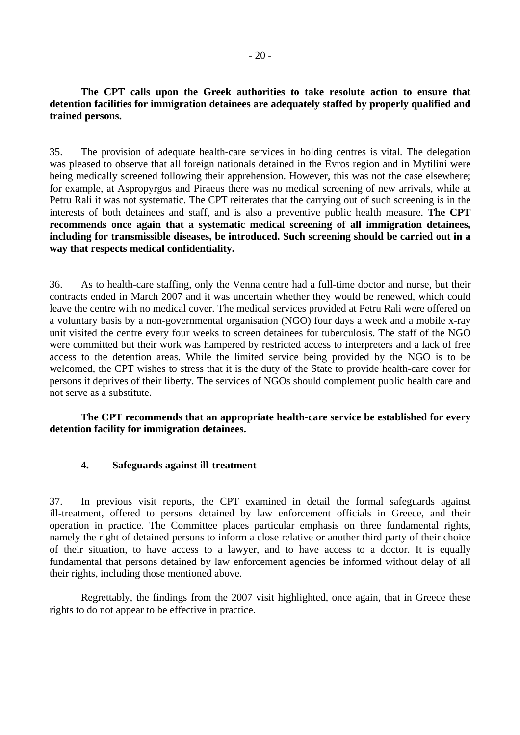<span id="page-19-0"></span>**The CPT calls upon the Greek authorities to take resolute action to ensure that detention facilities for immigration detainees are adequately staffed by properly qualified and trained persons.** 

35. The provision of adequate health-care services in holding centres is vital. The delegation was pleased to observe that all foreign nationals detained in the Evros region and in Mytilini were being medically screened following their apprehension. However, this was not the case elsewhere; for example, at Aspropyrgos and Piraeus there was no medical screening of new arrivals, while at Petru Rali it was not systematic. The CPT reiterates that the carrying out of such screening is in the interests of both detainees and staff, and is also a preventive public health measure. **The CPT recommends once again that a systematic medical screening of all immigration detainees, including for transmissible diseases, be introduced. Such screening should be carried out in a way that respects medical confidentiality.** 

36. As to health-care staffing, only the Venna centre had a full-time doctor and nurse, but their contracts ended in March 2007 and it was uncertain whether they would be renewed, which could leave the centre with no medical cover. The medical services provided at Petru Rali were offered on a voluntary basis by a non-governmental organisation (NGO) four days a week and a mobile x-ray unit visited the centre every four weeks to screen detainees for tuberculosis. The staff of the NGO were committed but their work was hampered by restricted access to interpreters and a lack of free access to the detention areas. While the limited service being provided by the NGO is to be welcomed, the CPT wishes to stress that it is the duty of the State to provide health-care cover for persons it deprives of their liberty. The services of NGOs should complement public health care and not serve as a substitute.

 **The CPT recommends that an appropriate health-care service be established for every detention facility for immigration detainees.** 

#### **4. Safeguards against ill-treatment**

37. In previous visit reports, the CPT examined in detail the formal safeguards against ill-treatment, offered to persons detained by law enforcement officials in Greece, and their operation in practice. The Committee places particular emphasis on three fundamental rights, namely the right of detained persons to inform a close relative or another third party of their choice of their situation, to have access to a lawyer, and to have access to a doctor. It is equally fundamental that persons detained by law enforcement agencies be informed without delay of all their rights, including those mentioned above.

 Regrettably, the findings from the 2007 visit highlighted, once again, that in Greece these rights to do not appear to be effective in practice.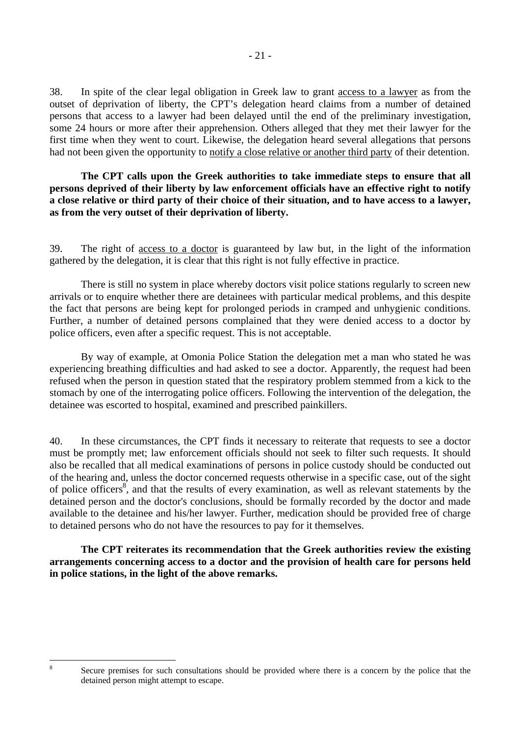38. In spite of the clear legal obligation in Greek law to grant access to a lawyer as from the outset of deprivation of liberty, the CPT's delegation heard claims from a number of detained persons that access to a lawyer had been delayed until the end of the preliminary investigation, some 24 hours or more after their apprehension. Others alleged that they met their lawyer for the first time when they went to court. Likewise, the delegation heard several allegations that persons had not been given the opportunity to notify a close relative or another third party of their detention.

## **The CPT calls upon the Greek authorities to take immediate steps to ensure that all persons deprived of their liberty by law enforcement officials have an effective right to notify a close relative or third party of their choice of their situation, and to have access to a lawyer, as from the very outset of their deprivation of liberty.**

39. The right of access to a doctor is guaranteed by law but, in the light of the information gathered by the delegation, it is clear that this right is not fully effective in practice.

 There is still no system in place whereby doctors visit police stations regularly to screen new arrivals or to enquire whether there are detainees with particular medical problems, and this despite the fact that persons are being kept for prolonged periods in cramped and unhygienic conditions. Further, a number of detained persons complained that they were denied access to a doctor by police officers, even after a specific request. This is not acceptable.

 By way of example, at Omonia Police Station the delegation met a man who stated he was experiencing breathing difficulties and had asked to see a doctor. Apparently, the request had been refused when the person in question stated that the respiratory problem stemmed from a kick to the stomach by one of the interrogating police officers. Following the intervention of the delegation, the detainee was escorted to hospital, examined and prescribed painkillers.

40. In these circumstances, the CPT finds it necessary to reiterate that requests to see a doctor must be promptly met; law enforcement officials should not seek to filter such requests. It should also be recalled that all medical examinations of persons in police custody should be conducted out of the hearing and, unless the doctor concerned requests otherwise in a specific case, out of the sight of police officers<sup>8</sup>, and that the results of every examination, as well as relevant statements by the detained person and the doctor's conclusions, should be formally recorded by the doctor and made available to the detainee and his/her lawyer. Further, medication should be provided free of charge to detained persons who do not have the resources to pay for it themselves.

**The CPT reiterates its recommendation that the Greek authorities review the existing arrangements concerning access to a doctor and the provision of health care for persons held in police stations, in the light of the above remarks.**

<span id="page-20-0"></span> $\frac{1}{8}$ 

Secure premises for such consultations should be provided where there is a concern by the police that the detained person might attempt to escape.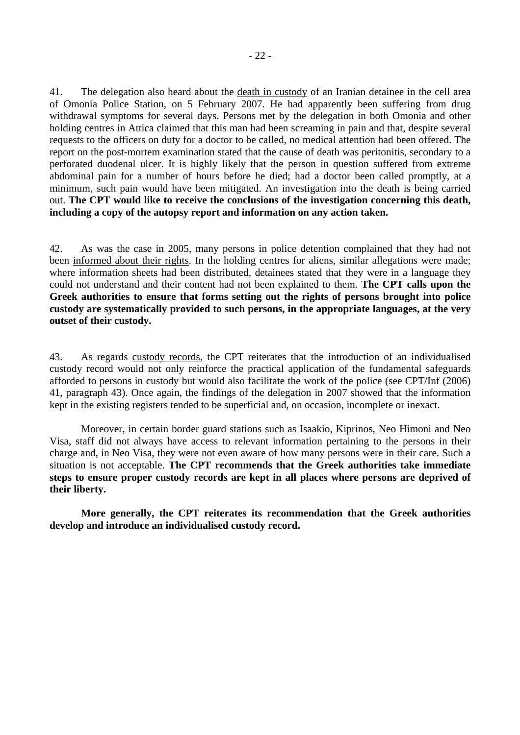41. The delegation also heard about the death in custody of an Iranian detainee in the cell area of Omonia Police Station, on 5 February 2007. He had apparently been suffering from drug withdrawal symptoms for several days. Persons met by the delegation in both Omonia and other holding centres in Attica claimed that this man had been screaming in pain and that, despite several requests to the officers on duty for a doctor to be called, no medical attention had been offered. The report on the post-mortem examination stated that the cause of death was peritonitis, secondary to a perforated duodenal ulcer. It is highly likely that the person in question suffered from extreme abdominal pain for a number of hours before he died; had a doctor been called promptly, at a minimum, such pain would have been mitigated. An investigation into the death is being carried out. **The CPT would like to receive the conclusions of the investigation concerning this death, including a copy of the autopsy report and information on any action taken.**

42. As was the case in 2005, many persons in police detention complained that they had not been informed about their rights. In the holding centres for aliens, similar allegations were made; where information sheets had been distributed, detainees stated that they were in a language they could not understand and their content had not been explained to them. **The CPT calls upon the Greek authorities to ensure that forms setting out the rights of persons brought into police custody are systematically provided to such persons, in the appropriate languages, at the very outset of their custody.** 

43. As regards custody records, the CPT reiterates that the introduction of an individualised custody record would not only reinforce the practical application of the fundamental safeguards afforded to persons in custody but would also facilitate the work of the police (see CPT/Inf (2006) 41, paragraph 43). Once again, the findings of the delegation in 2007 showed that the information kept in the existing registers tended to be superficial and, on occasion, incomplete or inexact.

 Moreover, in certain border guard stations such as Isaakio, Kiprinos, Neo Himoni and Neo Visa, staff did not always have access to relevant information pertaining to the persons in their charge and, in Neo Visa, they were not even aware of how many persons were in their care. Such a situation is not acceptable. **The CPT recommends that the Greek authorities take immediate steps to ensure proper custody records are kept in all places where persons are deprived of their liberty.** 

 **More generally, the CPT reiterates its recommendation that the Greek authorities develop and introduce an individualised custody record.**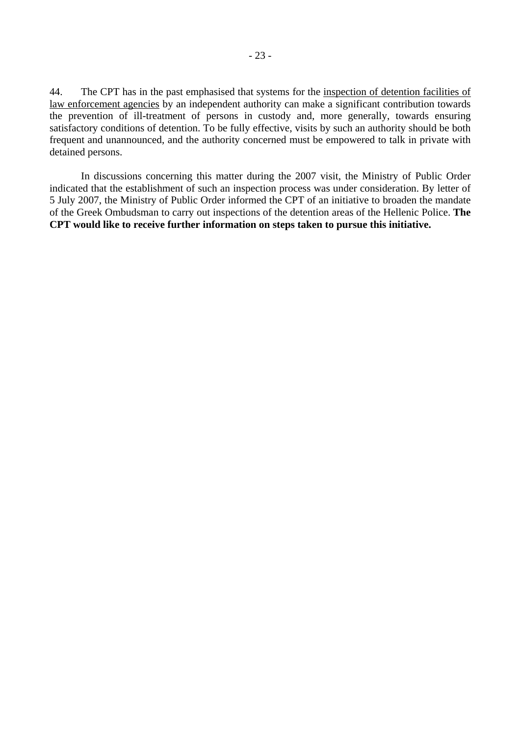44. The CPT has in the past emphasised that systems for the inspection of detention facilities of law enforcement agencies by an independent authority can make a significant contribution towards the prevention of ill-treatment of persons in custody and, more generally, towards ensuring satisfactory conditions of detention. To be fully effective, visits by such an authority should be both frequent and unannounced, and the authority concerned must be empowered to talk in private with detained persons.

 In discussions concerning this matter during the 2007 visit, the Ministry of Public Order indicated that the establishment of such an inspection process was under consideration. By letter of 5 July 2007, the Ministry of Public Order informed the CPT of an initiative to broaden the mandate of the Greek Ombudsman to carry out inspections of the detention areas of the Hellenic Police. **The CPT would like to receive further information on steps taken to pursue this initiative.**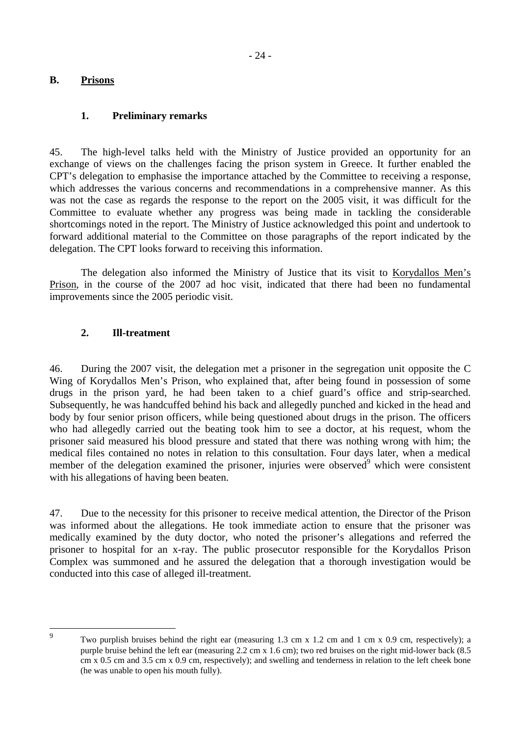## <span id="page-23-0"></span>**B. Prisons**

## **1. Preliminary remarks**

45. The high-level talks held with the Ministry of Justice provided an opportunity for an exchange of views on the challenges facing the prison system in Greece. It further enabled the CPT's delegation to emphasise the importance attached by the Committee to receiving a response, which addresses the various concerns and recommendations in a comprehensive manner. As this was not the case as regards the response to the report on the 2005 visit, it was difficult for the Committee to evaluate whether any progress was being made in tackling the considerable shortcomings noted in the report. The Ministry of Justice acknowledged this point and undertook to forward additional material to the Committee on those paragraphs of the report indicated by the delegation. The CPT looks forward to receiving this information.

 The delegation also informed the Ministry of Justice that its visit to Korydallos Men's Prison, in the course of the 2007 ad hoc visit, indicated that there had been no fundamental improvements since the 2005 periodic visit.

## **2. Ill-treatment**

46. During the 2007 visit, the delegation met a prisoner in the segregation unit opposite the C Wing of Korydallos Men's Prison, who explained that, after being found in possession of some drugs in the prison yard, he had been taken to a chief guard's office and strip-searched. Subsequently, he was handcuffed behind his back and allegedly punched and kicked in the head and body by four senior prison officers, while being questioned about drugs in the prison. The officers who had allegedly carried out the beating took him to see a doctor, at his request, whom the prisoner said measured his blood pressure and stated that there was nothing wrong with him; the medical files contained no notes in relation to this consultation. Four days later, when a medical member of the delegation examined the prisoner, injuries were observed $\delta$  which were consistent with his allegations of having been beaten.

47. Due to the necessity for this prisoner to receive medical attention, the Director of the Prison was informed about the allegations. He took immediate action to ensure that the prisoner was medically examined by the duty doctor, who noted the prisoner's allegations and referred the prisoner to hospital for an x-ray. The public prosecutor responsible for the Korydallos Prison Complex was summoned and he assured the delegation that a thorough investigation would be conducted into this case of alleged ill-treatment.

<span id="page-23-1"></span>9

Two purplish bruises behind the right ear (measuring 1.3 cm x 1.2 cm and 1 cm x 0.9 cm, respectively); a purple bruise behind the left ear (measuring 2.2 cm x 1.6 cm); two red bruises on the right mid-lower back (8.5 cm x 0.5 cm and 3.5 cm x 0.9 cm, respectively); and swelling and tenderness in relation to the left cheek bone (he was unable to open his mouth fully).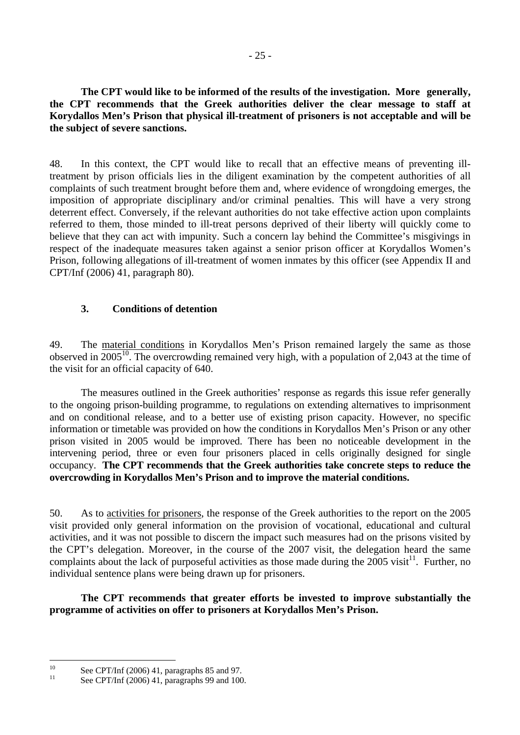<span id="page-24-0"></span> **The CPT would like to be informed of the results of the investigation. More generally, the CPT recommends that the Greek authorities deliver the clear message to staff at Korydallos Men's Prison that physical ill-treatment of prisoners is not acceptable and will be the subject of severe sanctions.** 

48. In this context, the CPT would like to recall that an effective means of preventing illtreatment by prison officials lies in the diligent examination by the competent authorities of all complaints of such treatment brought before them and, where evidence of wrongdoing emerges, the imposition of appropriate disciplinary and/or criminal penalties. This will have a very strong deterrent effect. Conversely, if the relevant authorities do not take effective action upon complaints referred to them, those minded to ill-treat persons deprived of their liberty will quickly come to believe that they can act with impunity. Such a concern lay behind the Committee's misgivings in respect of the inadequate measures taken against a senior prison officer at Korydallos Women's Prison, following allegations of ill-treatment of women inmates by this officer (see Appendix II and CPT/Inf (2006) 41, paragraph 80).

## **3. Conditions of detention**

49. The material conditions in Korydallos Men's Prison remained largely the same as those observed in 2005<sup>10</sup>. The overcrowding remained very high, with a population of 2,043 at the time of the visit for an official capacity of 640.

 The measures outlined in the Greek authorities' response as regards this issue refer generally to the ongoing prison-building programme, to regulations on extending alternatives to imprisonment and on conditional release, and to a better use of existing prison capacity. However, no specific information or timetable was provided on how the conditions in Korydallos Men's Prison or any other prison visited in 2005 would be improved. There has been no noticeable development in the intervening period, three or even four prisoners placed in cells originally designed for single occupancy. **The CPT recommends that the Greek authorities take concrete steps to reduce the overcrowding in Korydallos Men's Prison and to improve the material conditions.** 

50. As to activities for prisoners, the response of the Greek authorities to the report on the 2005 visit provided only general information on the provision of vocational, educational and cultural activities, and it was not possible to discern the impact such measures had on the prisons visited by the CPT's delegation. Moreover, in the course of the 2007 visit, the delegation heard the same complaints about the lack of purposeful activities as those made during the  $2005$  visit<sup>11</sup>. Further, no individual sentence plans were being drawn up for prisoners.

 **The CPT recommends that greater efforts be invested to improve substantially the programme of activities on offer to prisoners at Korydallos Men's Prison.** 

<span id="page-24-1"></span> $10<sup>10</sup>$ <sup>10</sup> See CPT/Inf (2006) 41, paragraphs 85 and 97.

<span id="page-24-2"></span>See CPT/Inf (2006) 41, paragraphs 99 and 100.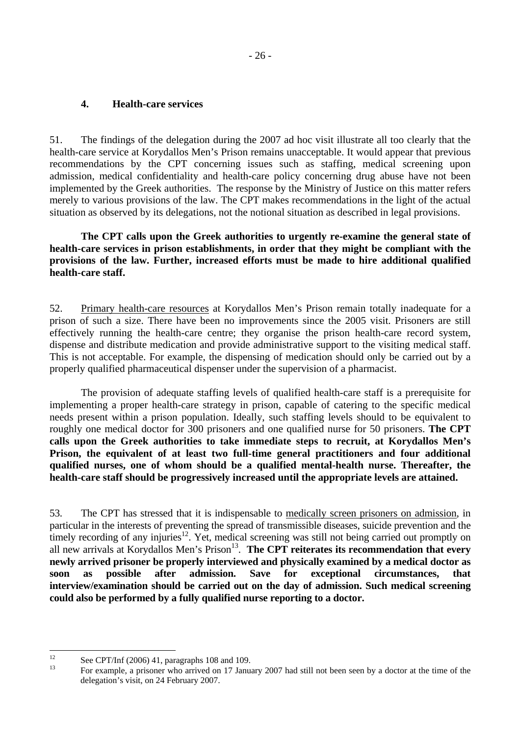#### <span id="page-25-0"></span>**4. Health-care services**

51. The findings of the delegation during the 2007 ad hoc visit illustrate all too clearly that the health-care service at Korydallos Men's Prison remains unacceptable. It would appear that previous recommendations by the CPT concerning issues such as staffing, medical screening upon admission, medical confidentiality and health-care policy concerning drug abuse have not been implemented by the Greek authorities. The response by the Ministry of Justice on this matter refers merely to various provisions of the law. The CPT makes recommendations in the light of the actual situation as observed by its delegations, not the notional situation as described in legal provisions.

 **The CPT calls upon the Greek authorities to urgently re-examine the general state of health-care services in prison establishments, in order that they might be compliant with the provisions of the law. Further, increased efforts must be made to hire additional qualified health-care staff.** 

52. Primary health-care resources at Korydallos Men's Prison remain totally inadequate for a prison of such a size. There have been no improvements since the 2005 visit. Prisoners are still effectively running the health-care centre; they organise the prison health-care record system, dispense and distribute medication and provide administrative support to the visiting medical staff. This is not acceptable. For example, the dispensing of medication should only be carried out by a properly qualified pharmaceutical dispenser under the supervision of a pharmacist.

 The provision of adequate staffing levels of qualified health-care staff is a prerequisite for implementing a proper health-care strategy in prison, capable of catering to the specific medical needs present within a prison population. Ideally, such staffing levels should to be equivalent to roughly one medical doctor for 300 prisoners and one qualified nurse for 50 prisoners. **The CPT calls upon the Greek authorities to take immediate steps to recruit, at Korydallos Men's Prison, the equivalent of at least two full-time general practitioners and four additional qualified nurses, one of whom should be a qualified mental-health nurse. Thereafter, the health-care staff should be progressively increased until the appropriate levels are attained.** 

53. The CPT has stressed that it is indispensable to medically screen prisoners on admission, in particular in the interests of preventing the spread of transmissible diseases, suicide prevention and the timely recording of any injuries<sup>12</sup>. Yet, medical screening was still not being carried out promptly on all new arrivals at Korydallos Men's Prison<sup>13</sup>. **The CPT reiterates its recommendation that every newly arrived prisoner be properly interviewed and physically examined by a medical doctor as soon as possible after admission. Save for exceptional circumstances, that interview/examination should be carried out on the day of admission. Such medical screening could also be performed by a fully qualified nurse reporting to a doctor.** 

<span id="page-25-1"></span> $12<sup>12</sup>$  $12$  See CPT/Inf (2006) 41, paragraphs 108 and 109.

<span id="page-25-2"></span><sup>13</sup> For example, a prisoner who arrived on 17 January 2007 had still not been seen by a doctor at the time of the delegation's visit, on 24 February 2007.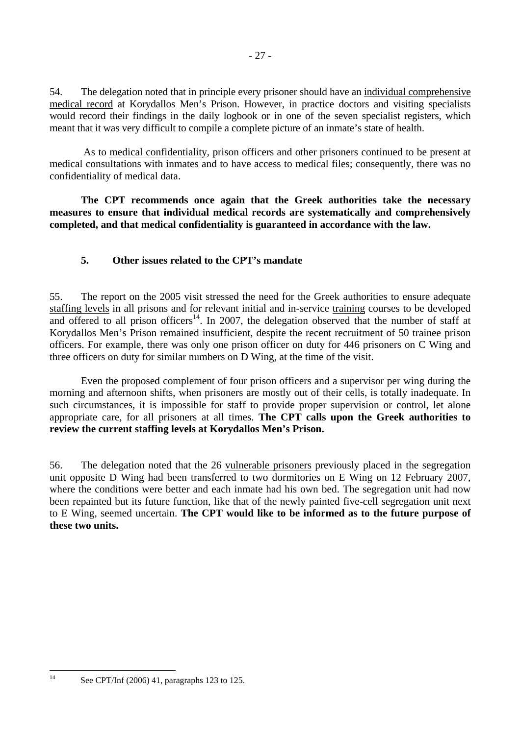<span id="page-26-0"></span>54. The delegation noted that in principle every prisoner should have an individual comprehensive medical record at Korydallos Men's Prison. However, in practice doctors and visiting specialists would record their findings in the daily logbook or in one of the seven specialist registers, which meant that it was very difficult to compile a complete picture of an inmate's state of health.

 As to medical confidentiality, prison officers and other prisoners continued to be present at medical consultations with inmates and to have access to medical files; consequently, there was no confidentiality of medical data.

 **The CPT recommends once again that the Greek authorities take the necessary measures to ensure that individual medical records are systematically and comprehensively completed, and that medical confidentiality is guaranteed in accordance with the law.** 

## **5. Other issues related to the CPT's mandate**

55. The report on the 2005 visit stressed the need for the Greek authorities to ensure adequate staffing levels in all prisons and for relevant initial and in-service training courses to be developed and offered to all prison officers<sup>14</sup>. In 2007, the delegation observed that the number of staff at Korydallos Men's Prison remained insufficient, despite the recent recruitment of 50 trainee prison officers. For example, there was only one prison officer on duty for 446 prisoners on C Wing and three officers on duty for similar numbers on D Wing, at the time of the visit.

 Even the proposed complement of four prison officers and a supervisor per wing during the morning and afternoon shifts, when prisoners are mostly out of their cells, is totally inadequate. In such circumstances, it is impossible for staff to provide proper supervision or control, let alone appropriate care, for all prisoners at all times. **The CPT calls upon the Greek authorities to review the current staffing levels at Korydallos Men's Prison.**

56. The delegation noted that the 26 vulnerable prisoners previously placed in the segregation unit opposite D Wing had been transferred to two dormitories on E Wing on 12 February 2007, where the conditions were better and each inmate had his own bed. The segregation unit had now been repainted but its future function, like that of the newly painted five-cell segregation unit next to E Wing, seemed uncertain. **The CPT would like to be informed as to the future purpose of these two units.** 

<span id="page-26-1"></span> $14$ See CPT/Inf (2006) 41, paragraphs 123 to 125.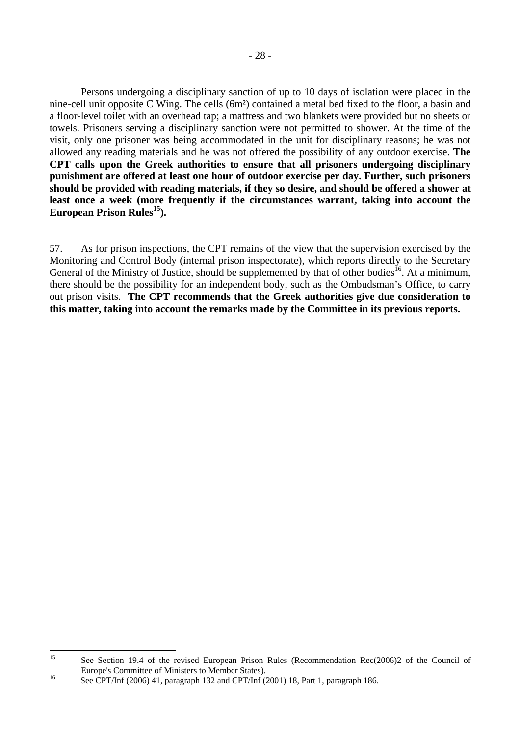Persons undergoing a disciplinary sanction of up to 10 days of isolation were placed in the nine-cell unit opposite C Wing. The cells (6m²) contained a metal bed fixed to the floor, a basin and a floor-level toilet with an overhead tap; a mattress and two blankets were provided but no sheets or towels. Prisoners serving a disciplinary sanction were not permitted to shower. At the time of the visit, only one prisoner was being accommodated in the unit for disciplinary reasons; he was not allowed any reading materials and he was not offered the possibility of any outdoor exercise. **The CPT calls upon the Greek authorities to ensure that all prisoners undergoing disciplinary punishment are offered at least one hour of outdoor exercise per day. Further, such prisoners should be provided with reading materials, if they so desire, and should be offered a shower at least once a week (more frequently if the circumstances warrant, taking into account the**  European Prison Rules<sup>15</sup>).

57. As for prison inspections, the CPT remains of the view that the supervision exercised by the Monitoring and Control Body (internal prison inspectorate), which reports directly to the Secretary General of the Ministry of Justice, should be supplemented by that of other bodies<sup>16</sup>. At a minimum, there should be the possibility for an independent body, such as the Ombudsman's Office, to carry out prison visits. **The CPT recommends that the Greek authorities give due consideration to this matter, taking into account the remarks made by the Committee in its previous reports.** 

<span id="page-27-0"></span> $15$ See Section 19.4 of the revised European Prison Rules (Recommendation Rec(2006)2 of the Council of Europe's Committee of Ministers to Member States).<br>
See CPT/Inf (2006) 41, paragraph 132 and CPT/Inf (2001) 18, Part 1, paragraph 186.

<span id="page-27-1"></span>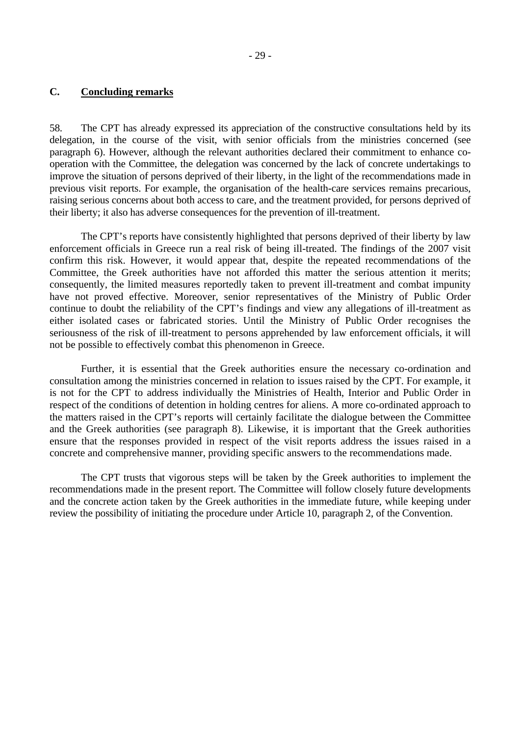#### <span id="page-28-0"></span>**C. Concluding remarks**

58. The CPT has already expressed its appreciation of the constructive consultations held by its delegation, in the course of the visit, with senior officials from the ministries concerned (see paragraph 6). However, although the relevant authorities declared their commitment to enhance cooperation with the Committee, the delegation was concerned by the lack of concrete undertakings to improve the situation of persons deprived of their liberty, in the light of the recommendations made in previous visit reports. For example, the organisation of the health-care services remains precarious, raising serious concerns about both access to care, and the treatment provided, for persons deprived of their liberty; it also has adverse consequences for the prevention of ill-treatment.

The CPT's reports have consistently highlighted that persons deprived of their liberty by law enforcement officials in Greece run a real risk of being ill-treated. The findings of the 2007 visit confirm this risk. However, it would appear that, despite the repeated recommendations of the Committee, the Greek authorities have not afforded this matter the serious attention it merits; consequently, the limited measures reportedly taken to prevent ill-treatment and combat impunity have not proved effective. Moreover, senior representatives of the Ministry of Public Order continue to doubt the reliability of the CPT's findings and view any allegations of ill-treatment as either isolated cases or fabricated stories. Until the Ministry of Public Order recognises the seriousness of the risk of ill-treatment to persons apprehended by law enforcement officials, it will not be possible to effectively combat this phenomenon in Greece.

 Further, it is essential that the Greek authorities ensure the necessary co-ordination and consultation among the ministries concerned in relation to issues raised by the CPT. For example, it is not for the CPT to address individually the Ministries of Health, Interior and Public Order in respect of the conditions of detention in holding centres for aliens. A more co-ordinated approach to the matters raised in the CPT's reports will certainly facilitate the dialogue between the Committee and the Greek authorities (see paragraph 8). Likewise, it is important that the Greek authorities ensure that the responses provided in respect of the visit reports address the issues raised in a concrete and comprehensive manner, providing specific answers to the recommendations made.

 The CPT trusts that vigorous steps will be taken by the Greek authorities to implement the recommendations made in the present report. The Committee will follow closely future developments and the concrete action taken by the Greek authorities in the immediate future, while keeping under review the possibility of initiating the procedure under Article 10, paragraph 2, of the Convention.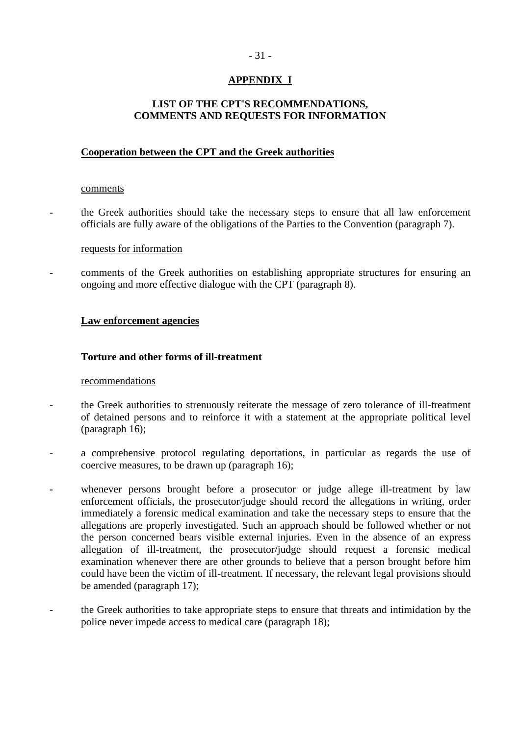## - 31 -

## **APPENDIX I**

## <span id="page-30-0"></span>**LIST OF THE CPT'S RECOMMENDATIONS, COMMENTS AND REQUESTS FOR INFORMATION**

## **Cooperation between the CPT and the Greek authorities**

#### comments

- the Greek authorities should take the necessary steps to ensure that all law enforcement officials are fully aware of the obligations of the Parties to the Convention (paragraph 7).

#### requests for information

- comments of the Greek authorities on establishing appropriate structures for ensuring an ongoing and more effective dialogue with the CPT (paragraph 8).

## **Law enforcement agencies**

## **Torture and other forms of ill-treatment**

## recommendations

- the Greek authorities to strenuously reiterate the message of zero tolerance of ill-treatment of detained persons and to reinforce it with a statement at the appropriate political level (paragraph 16);
- a comprehensive protocol regulating deportations, in particular as regards the use of coercive measures, to be drawn up (paragraph 16);
- whenever persons brought before a prosecutor or judge allege ill-treatment by law enforcement officials, the prosecutor/judge should record the allegations in writing, order immediately a forensic medical examination and take the necessary steps to ensure that the allegations are properly investigated. Such an approach should be followed whether or not the person concerned bears visible external injuries. Even in the absence of an express allegation of ill-treatment, the prosecutor/judge should request a forensic medical examination whenever there are other grounds to believe that a person brought before him could have been the victim of ill-treatment. If necessary, the relevant legal provisions should be amended (paragraph 17);
- the Greek authorities to take appropriate steps to ensure that threats and intimidation by the police never impede access to medical care (paragraph 18);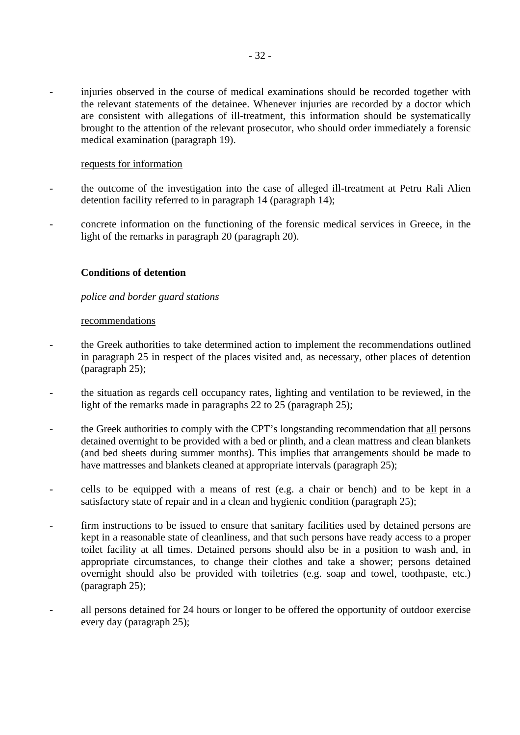injuries observed in the course of medical examinations should be recorded together with the relevant statements of the detainee. Whenever injuries are recorded by a doctor which are consistent with allegations of ill-treatment, this information should be systematically brought to the attention of the relevant prosecutor, who should order immediately a forensic medical examination (paragraph 19).

#### requests for information

- the outcome of the investigation into the case of alleged ill-treatment at Petru Rali Alien detention facility referred to in paragraph 14 (paragraph 14);
- concrete information on the functioning of the forensic medical services in Greece, in the light of the remarks in paragraph 20 (paragraph 20).

## **Conditions of detention**

## *police and border guard stations*

#### recommendations

- the Greek authorities to take determined action to implement the recommendations outlined in paragraph 25 in respect of the places visited and, as necessary, other places of detention (paragraph 25);
- the situation as regards cell occupancy rates, lighting and ventilation to be reviewed, in the light of the remarks made in paragraphs 22 to 25 (paragraph 25);
- the Greek authorities to comply with the CPT's longstanding recommendation that all persons detained overnight to be provided with a bed or plinth, and a clean mattress and clean blankets (and bed sheets during summer months). This implies that arrangements should be made to have mattresses and blankets cleaned at appropriate intervals (paragraph 25);
- cells to be equipped with a means of rest (e.g. a chair or bench) and to be kept in a satisfactory state of repair and in a clean and hygienic condition (paragraph 25);
- firm instructions to be issued to ensure that sanitary facilities used by detained persons are kept in a reasonable state of cleanliness, and that such persons have ready access to a proper toilet facility at all times. Detained persons should also be in a position to wash and, in appropriate circumstances, to change their clothes and take a shower; persons detained overnight should also be provided with toiletries (e.g. soap and towel, toothpaste, etc.) (paragraph 25);
- all persons detained for 24 hours or longer to be offered the opportunity of outdoor exercise every day (paragraph 25);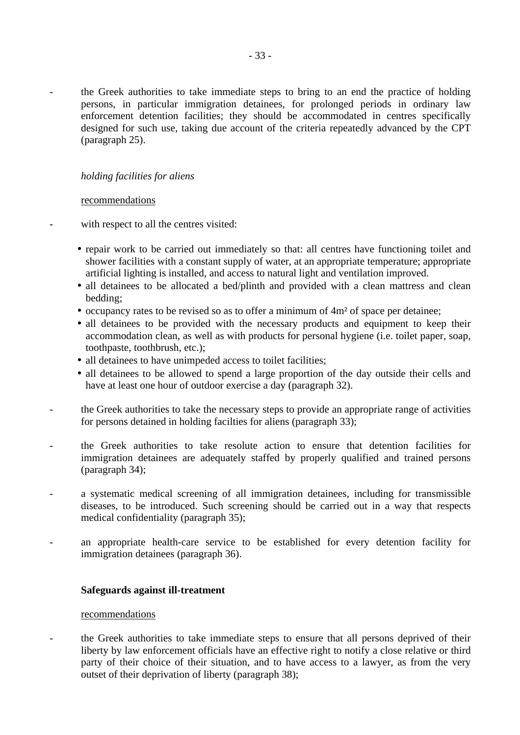the Greek authorities to take immediate steps to bring to an end the practice of holding persons, in particular immigration detainees, for prolonged periods in ordinary law enforcement detention facilities; they should be accommodated in centres specifically designed for such use, taking due account of the criteria repeatedly advanced by the CPT (paragraph 25).

## *holding facilities for aliens*

## recommendations

with respect to all the centres visited:

- repair work to be carried out immediately so that: all centres have functioning toilet and shower facilities with a constant supply of water, at an appropriate temperature; appropriate artificial lighting is installed, and access to natural light and ventilation improved.
- all detainees to be allocated a bed/plinth and provided with a clean mattress and clean bedding;
- occupancy rates to be revised so as to offer a minimum of 4m² of space per detainee;
- all detainees to be provided with the necessary products and equipment to keep their accommodation clean, as well as with products for personal hygiene (i.e. toilet paper, soap, toothpaste, toothbrush, etc.);
- all detainees to have unimpeded access to toilet facilities;
- all detainees to be allowed to spend a large proportion of the day outside their cells and have at least one hour of outdoor exercise a day (paragraph 32).
- the Greek authorities to take the necessary steps to provide an appropriate range of activities for persons detained in holding facilties for aliens (paragraph 33);
- the Greek authorities to take resolute action to ensure that detention facilities for immigration detainees are adequately staffed by properly qualified and trained persons (paragraph 34);
- a systematic medical screening of all immigration detainees, including for transmissible diseases, to be introduced. Such screening should be carried out in a way that respects medical confidentiality (paragraph 35);
- an appropriate health-care service to be established for every detention facility for immigration detainees (paragraph 36).

## **Safeguards against ill-treatment**

#### recommendations

- the Greek authorities to take immediate steps to ensure that all persons deprived of their liberty by law enforcement officials have an effective right to notify a close relative or third party of their choice of their situation, and to have access to a lawyer, as from the very outset of their deprivation of liberty (paragraph 38);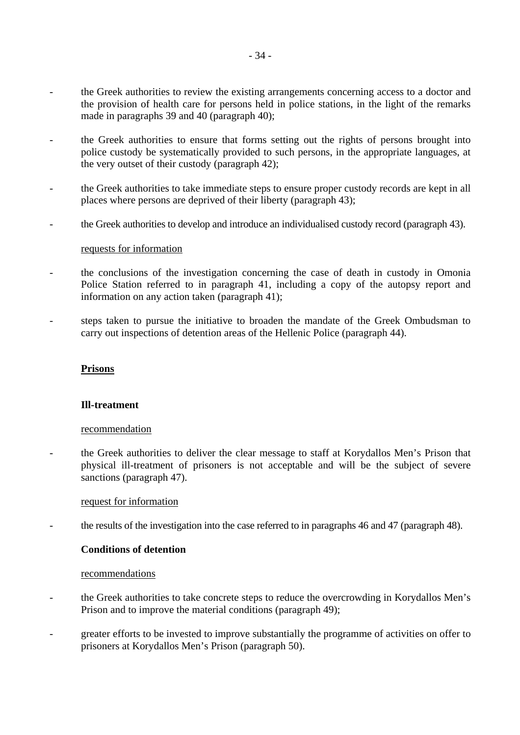- the Greek authorities to review the existing arrangements concerning access to a doctor and the provision of health care for persons held in police stations, in the light of the remarks made in paragraphs 39 and 40 (paragraph 40);
- the Greek authorities to ensure that forms setting out the rights of persons brought into police custody be systematically provided to such persons, in the appropriate languages, at the very outset of their custody (paragraph 42);
- the Greek authorities to take immediate steps to ensure proper custody records are kept in all places where persons are deprived of their liberty (paragraph 43);
- the Greek authorities to develop and introduce an individualised custody record (paragraph 43).

#### requests for information

- the conclusions of the investigation concerning the case of death in custody in Omonia Police Station referred to in paragraph 41, including a copy of the autopsy report and information on any action taken (paragraph 41);
- steps taken to pursue the initiative to broaden the mandate of the Greek Ombudsman to carry out inspections of detention areas of the Hellenic Police (paragraph 44).

#### **Prisons**

## **Ill-treatment**

#### recommendation

the Greek authorities to deliver the clear message to staff at Korydallos Men's Prison that physical ill-treatment of prisoners is not acceptable and will be the subject of severe sanctions (paragraph 47).

## request for information

- the results of the investigation into the case referred to in paragraphs 46 and 47 (paragraph 48).

## **Conditions of detention**

#### recommendations

- the Greek authorities to take concrete steps to reduce the overcrowding in Korydallos Men's Prison and to improve the material conditions (paragraph 49);
- greater efforts to be invested to improve substantially the programme of activities on offer to prisoners at Korydallos Men's Prison (paragraph 50).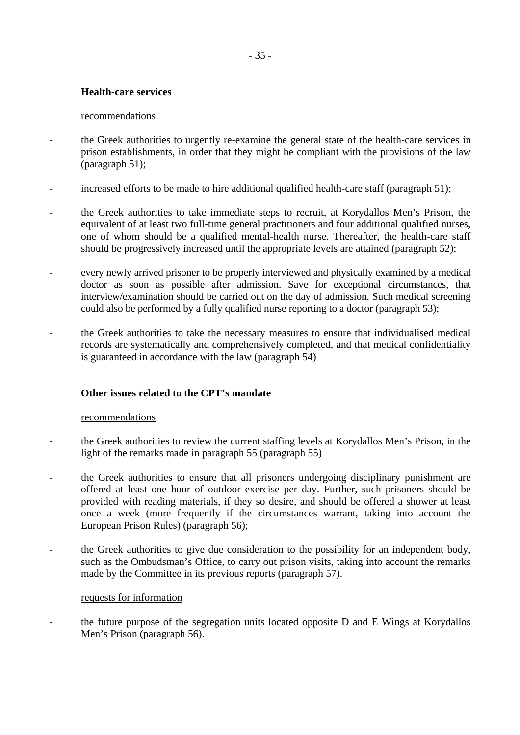## **Health-care services**

## recommendations

- the Greek authorities to urgently re-examine the general state of the health-care services in prison establishments, in order that they might be compliant with the provisions of the law (paragraph 51);
- increased efforts to be made to hire additional qualified health-care staff (paragraph 51);
- the Greek authorities to take immediate steps to recruit, at Korydallos Men's Prison, the equivalent of at least two full-time general practitioners and four additional qualified nurses, one of whom should be a qualified mental-health nurse. Thereafter, the health-care staff should be progressively increased until the appropriate levels are attained (paragraph 52);
- every newly arrived prisoner to be properly interviewed and physically examined by a medical doctor as soon as possible after admission. Save for exceptional circumstances, that interview/examination should be carried out on the day of admission. Such medical screening could also be performed by a fully qualified nurse reporting to a doctor (paragraph 53);
- the Greek authorities to take the necessary measures to ensure that individualised medical records are systematically and comprehensively completed, and that medical confidentiality is guaranteed in accordance with the law (paragraph 54)

## **Other issues related to the CPT's mandate**

## recommendations

- the Greek authorities to review the current staffing levels at Korydallos Men's Prison, in the light of the remarks made in paragraph 55 (paragraph 55)
- the Greek authorities to ensure that all prisoners undergoing disciplinary punishment are offered at least one hour of outdoor exercise per day. Further, such prisoners should be provided with reading materials, if they so desire, and should be offered a shower at least once a week (more frequently if the circumstances warrant, taking into account the European Prison Rules) (paragraph 56);
- the Greek authorities to give due consideration to the possibility for an independent body, such as the Ombudsman's Office, to carry out prison visits, taking into account the remarks made by the Committee in its previous reports (paragraph 57).

## requests for information

- the future purpose of the segregation units located opposite D and E Wings at Korydallos Men's Prison (paragraph 56).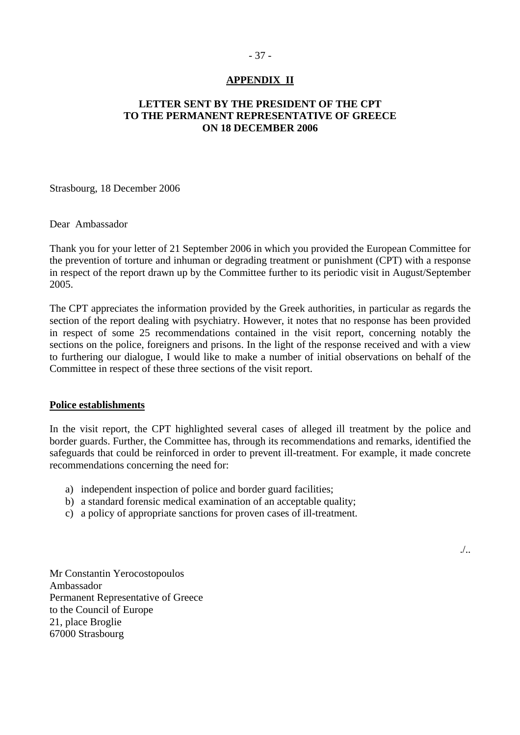## - 37 -

## **APPENDIX II**

## <span id="page-36-0"></span>**LETTER SENT BY THE PRESIDENT OF THE CPT TO THE PERMANENT REPRESENTATIVE OF GREECE ON 18 DECEMBER 2006**

Strasbourg, 18 December 2006

Dear Ambassador

Thank you for your letter of 21 September 2006 in which you provided the European Committee for the prevention of torture and inhuman or degrading treatment or punishment (CPT) with a response in respect of the report drawn up by the Committee further to its periodic visit in August/September 2005.

The CPT appreciates the information provided by the Greek authorities, in particular as regards the section of the report dealing with psychiatry. However, it notes that no response has been provided in respect of some 25 recommendations contained in the visit report, concerning notably the sections on the police, foreigners and prisons. In the light of the response received and with a view to furthering our dialogue, I would like to make a number of initial observations on behalf of the Committee in respect of these three sections of the visit report.

## **Police establishments**

In the visit report, the CPT highlighted several cases of alleged ill treatment by the police and border guards. Further, the Committee has, through its recommendations and remarks, identified the safeguards that could be reinforced in order to prevent ill-treatment. For example, it made concrete recommendations concerning the need for:

- a) independent inspection of police and border guard facilities;
- b) a standard forensic medical examination of an acceptable quality;
- c) a policy of appropriate sanctions for proven cases of ill-treatment.

Mr Constantin Yerocostopoulos Ambassador Permanent Representative of Greece to the Council of Europe 21, place Broglie 67000 Strasbourg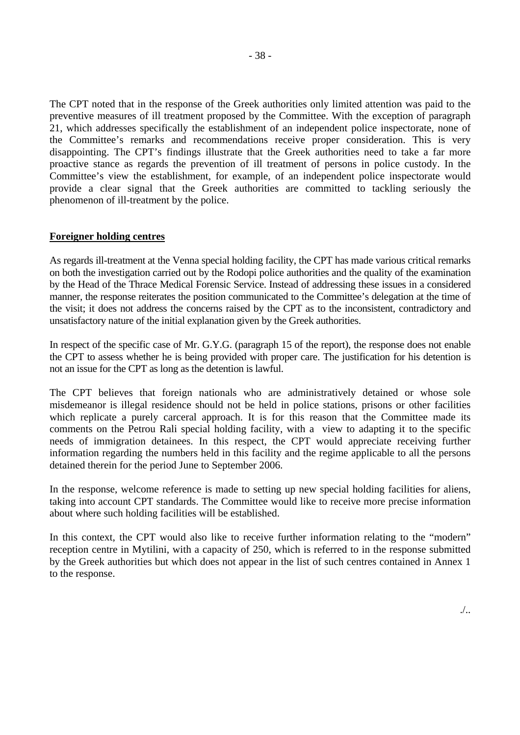The CPT noted that in the response of the Greek authorities only limited attention was paid to the preventive measures of ill treatment proposed by the Committee. With the exception of paragraph 21, which addresses specifically the establishment of an independent police inspectorate, none of the Committee's remarks and recommendations receive proper consideration. This is very disappointing. The CPT's findings illustrate that the Greek authorities need to take a far more proactive stance as regards the prevention of ill treatment of persons in police custody. In the Committee's view the establishment, for example, of an independent police inspectorate would provide a clear signal that the Greek authorities are committed to tackling seriously the phenomenon of ill-treatment by the police.

#### **Foreigner holding centres**

As regards ill-treatment at the Venna special holding facility, the CPT has made various critical remarks on both the investigation carried out by the Rodopi police authorities and the quality of the examination by the Head of the Thrace Medical Forensic Service. Instead of addressing these issues in a considered manner, the response reiterates the position communicated to the Committee's delegation at the time of the visit; it does not address the concerns raised by the CPT as to the inconsistent, contradictory and unsatisfactory nature of the initial explanation given by the Greek authorities.

In respect of the specific case of Mr. G.Y.G. (paragraph 15 of the report), the response does not enable the CPT to assess whether he is being provided with proper care. The justification for his detention is not an issue for the CPT as long as the detention is lawful.

The CPT believes that foreign nationals who are administratively detained or whose sole misdemeanor is illegal residence should not be held in police stations, prisons or other facilities which replicate a purely carceral approach. It is for this reason that the Committee made its comments on the Petrou Rali special holding facility, with a view to adapting it to the specific needs of immigration detainees. In this respect, the CPT would appreciate receiving further information regarding the numbers held in this facility and the regime applicable to all the persons detained therein for the period June to September 2006.

In the response, welcome reference is made to setting up new special holding facilities for aliens, taking into account CPT standards. The Committee would like to receive more precise information about where such holding facilities will be established.

In this context, the CPT would also like to receive further information relating to the "modern" reception centre in Mytilini, with a capacity of 250, which is referred to in the response submitted by the Greek authorities but which does not appear in the list of such centres contained in Annex 1 to the response.